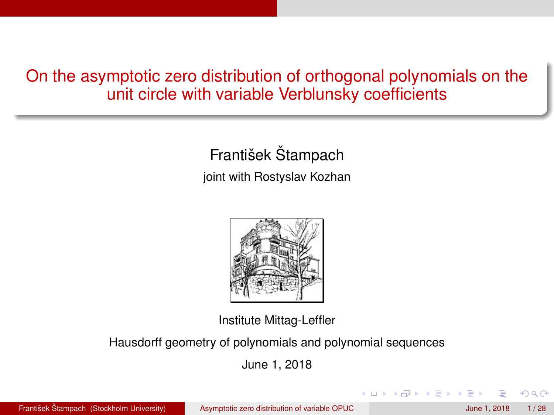# <span id="page-0-0"></span>On the asymptotic zero distribution of orthogonal polynomials on the unit circle with variable Verblunsky coefficients

František Štampach joint with Rostyslav Kozhan



Institute Mittag-Leffler

Hausdorff geometry of polynomials and polynomial sequences

June 1, 2018

František Štampach (Stockholm University) [Asymptotic zero distribution of variable OPUC](#page-106-0) June 1, 2018 1/28

 $\Omega$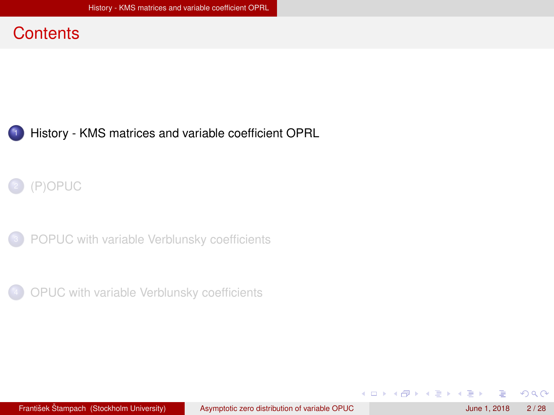#### <span id="page-1-0"></span>**Contents**



#### <sup>2</sup> [\(P\)OPUC](#page-26-0)

<sup>3</sup> [POPUC with variable Verblunsky coefficients](#page-42-0)

<sup>4</sup> [OPUC with variable Verblunsky coefficients](#page-78-0)

 $2Q$ 

**K ロ ⊁ K 倒 ≯ K ミ ⊁ K ミ ⊁**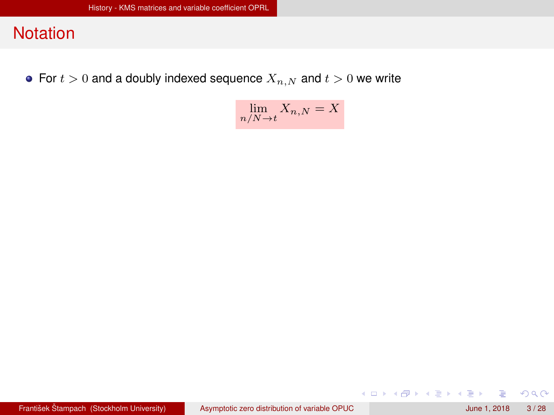# <span id="page-2-0"></span>**Notation**

• For  $t > 0$  and a doubly indexed sequence  $X_{n,N}$  and  $t > 0$  we write

$$
\lim_{n/N \to t} X_{n,N} = X
$$

 $299$ 

メロトメ 伊 トメ ミトメ ミト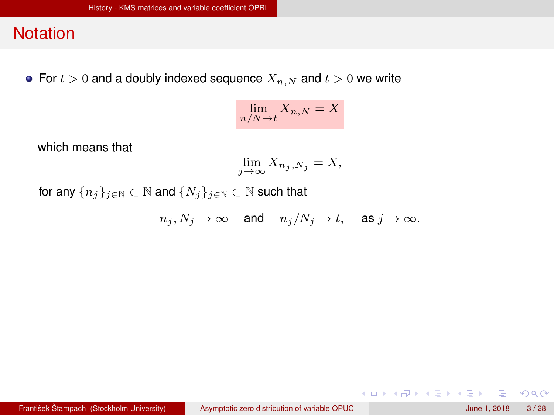# <span id="page-3-0"></span>**Notation**

• For  $t > 0$  and a doubly indexed sequence  $X_{n,N}$  and  $t > 0$  we write

$$
\lim_{n/N \to t} X_{n,N} = X
$$

which means that

$$
\lim_{j \to \infty} X_{n_j, N_j} = X,
$$

for any  ${n_j}_{j \in \mathbb{N}} \subset \mathbb{N}$  and  ${N_j}_{j \in \mathbb{N}} \subset \mathbb{N}$  such that

$$
n_j, N_j \to \infty \quad \text{ and } \quad n_j/N_j \to t, \quad \text{ as } j \to \infty.
$$

 $2Q$ 

メロトメ 伊 トメ ミトメ ミト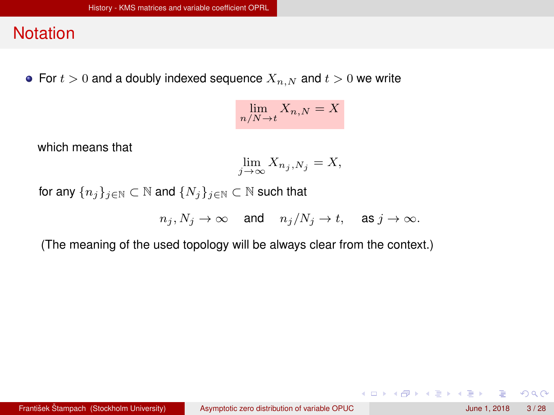# <span id="page-4-0"></span>**Notation**

• For  $t > 0$  and a doubly indexed sequence  $X_{n,N}$  and  $t > 0$  we write

$$
\lim_{n/N \to t} X_{n,N} = X
$$

which means that

$$
\lim_{j \to \infty} X_{n_j, N_j} = X,
$$

for any  ${n_j}_{j\in\mathbb{N}}\subset\mathbb{N}$  and  ${N_j}_{j\in\mathbb{N}}\subset\mathbb{N}$  such that

$$
n_j, N_j \to \infty \quad \text{ and } \quad n_j/N_j \to t, \quad \text{ as } j \to \infty.
$$

K ロ ▶ K 御 ▶ K 唐 ▶ K 唐 ▶ ...

G.  $2Q$ 

(The meaning of the used topology will be always clear from the context.)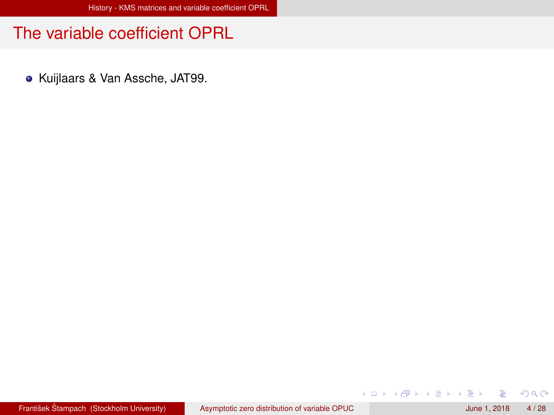<span id="page-5-0"></span>Kuijlaars & Van Assche, JAT99.

 $299$ 

メロトメ 伊 トメ ミトメ ミト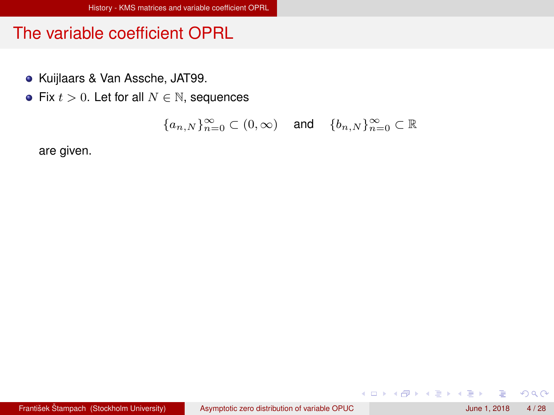- <span id="page-6-0"></span>Kuijlaars & Van Assche, JAT99.
- Fix  $t > 0$ . Let for all  $N \in \mathbb{N}$ , sequences

$$
\{a_{n,N}\}_{n=0}^\infty\subset (0,\infty)\quad\text{ and }\quad \{b_{n,N}\}_{n=0}^\infty\subset\mathbb{R}
$$

are given.

 $299$ 

**K ロ ⊁ K 倒 ≯ K ミ ⊁ K ミ ⊁**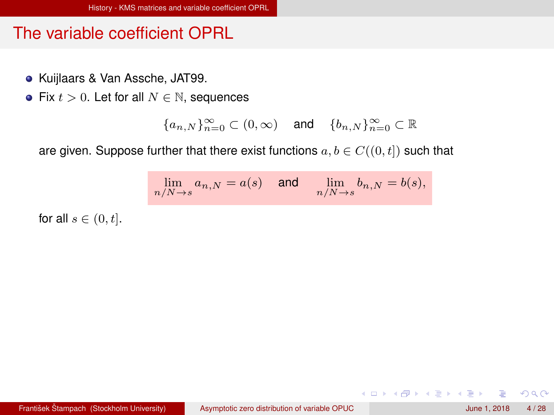- <span id="page-7-0"></span>Kuijlaars & Van Assche, JAT99.
- Fix  $t > 0$ . Let for all  $N \in \mathbb{N}$ , sequences

$$
\{a_{n,N}\}_{n=0}^\infty\subset (0,\infty)\quad\text{ and }\quad \{b_{n,N}\}_{n=0}^\infty\subset\mathbb{R}
$$

are given. Suppose further that there exist functions  $a, b \in C((0, t])$  such that

$$
\lim_{n/N\to s} a_{n,N}=a(s)\quad \text{ and }\quad \lim_{n/N\to s} b_{n,N}=b(s),
$$

for all  $s \in (0, t]$ .

 $2Q$ 

イロメ イ母メ イヨメ イヨメ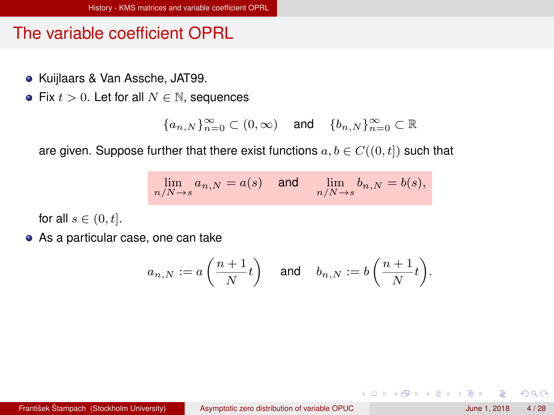- <span id="page-8-0"></span>Kuijlaars & Van Assche, JAT99.
- Fix  $t > 0$ . Let for all  $N \in \mathbb{N}$ , sequences

$$
\{a_{n,N}\}_{n=0}^\infty\subset (0,\infty)\quad\text{ and }\quad \{b_{n,N}\}_{n=0}^\infty\subset\mathbb{R}
$$

are given. Suppose further that there exist functions  $a, b \in C((0, t])$  such that

$$
\lim_{n/N \to s} a_{n,N} = a(s) \quad \text{ and } \quad \lim_{n/N \to s} b_{n,N} = b(s),
$$

for all  $s \in (0, t]$ .

As a particular case, one can take

$$
a_{n,N}:=a\left(\frac{n+1}{N}t\right)\quad\text{ and }\quad b_{n,N}:=b\left(\frac{n+1}{N}t\right).
$$

イロメ イ母メ イヨメ イヨメ

 $2Q$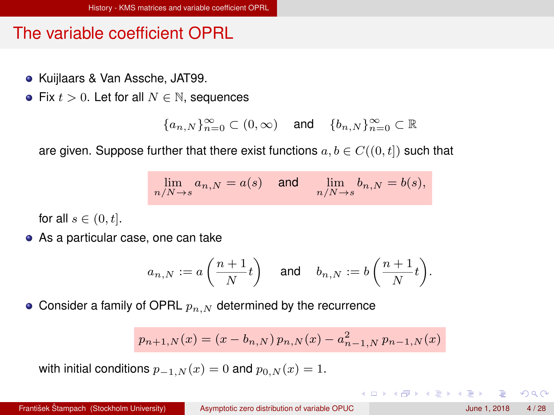- <span id="page-9-0"></span>Kuijlaars & Van Assche, JAT99.
- Fix  $t > 0$ . Let for all  $N \in \mathbb{N}$ , sequences

$$
\{a_{n,N}\}_{n=0}^\infty\subset (0,\infty)\quad\text{ and }\quad \{b_{n,N}\}_{n=0}^\infty\subset\mathbb{R}
$$

are given. Suppose further that there exist functions  $a, b \in C((0, t])$  such that

$$
\lim_{n/N\to s} a_{n,N}=a(s)\quad \text{ and }\quad \lim_{n/N\to s} b_{n,N}=b(s),
$$

for all  $s \in (0, t]$ .

As a particular case, one can take

$$
a_{n,N}:=a\left(\frac{n+1}{N}t\right)\quad\text{ and }\quad b_{n,N}:=b\left(\frac{n+1}{N}t\right).
$$

• Consider a family of OPRL  $p_{n,N}$  determined by the recurrence

$$
p_{n+1,N}(x) = (x - b_{n,N}) p_{n,N}(x) - a_{n-1,N}^2 p_{n-1,N}(x)
$$

with initial conditions  $p_{-1,N}(x) = 0$  and  $p_{0,N}(x) = 1$ .

 $QQQ$ 

イロト イ母 トイラ トイラ トー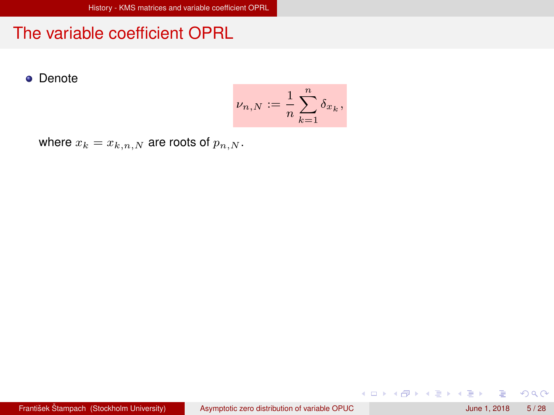<span id="page-10-0"></span>• Denote

$$
\nu_{n,N} := \frac{1}{n} \sum_{k=1}^n \delta_{x_k},
$$

where  $x_k = x_{k,n,N}$  are roots of  $p_{n,N}$ .

 $2Q$ 

イロト イ部 トイヨ トイヨ トー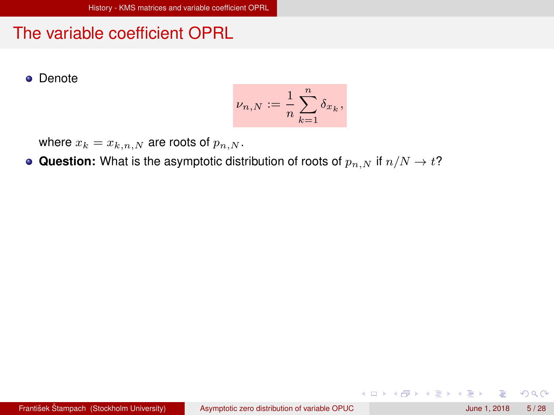<span id="page-11-0"></span>**a** Denote

$$
\nu_{n,N}:=\frac{1}{n}\sum_{k=1}^n \delta_{x_k},
$$

where  $x_k = x_{k,n,N}$  are roots of  $p_{n,N}$ .

• Question: What is the asymptotic distribution of roots of  $p_{n,N}$  if  $n/N \to t$ ?

 $2Q$ 

メロトメ 伊 トメ ミトメ ミト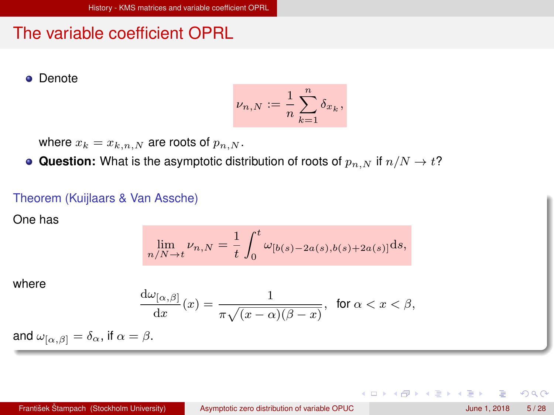<span id="page-12-0"></span>**o** Denote

$$
\nu_{n,N} := \frac{1}{n} \sum_{k=1}^n \delta_{x_k},
$$

where  $x_k = x_{k,n,N}$  are roots of  $p_{n,N}$ .

• Question: What is the asymptotic distribution of roots of  $p_{n,N}$  if  $n/N \to t$ ?

#### Theorem (Kuijlaars & Van Assche)

One has

$$
\lim_{n/N\to t}\nu_{n,N}=\frac{1}{t}\int_0^t\omega_{[b(s)-2a(s),b(s)+2a(s)]}{\rm d} s,
$$

where

$$
\frac{\mathrm{d}\omega_{[\alpha,\beta]}}{\mathrm{d}x}(x)=\frac{1}{\pi\sqrt{(x-\alpha)(\beta-x)}},\ \ \text{for}\ \alpha
$$

and  $\omega_{\alpha,\beta} = \delta_{\alpha}$ , if  $\alpha = \beta$ .

 $\Omega$ 

イロン イ団ン イヨン イヨン 一番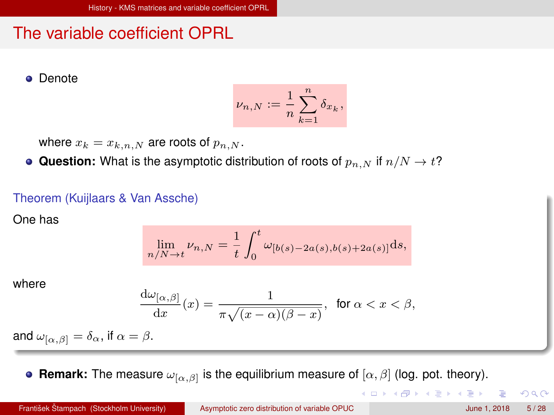<span id="page-13-0"></span>**o** Denote

$$
\nu_{n,N} := \frac{1}{n} \sum_{k=1}^n \delta_{x_k},
$$

where  $x_k = x_{k,n,N}$  are roots of  $p_{n,N}$ .

• Question: What is the asymptotic distribution of roots of  $p_{n,N}$  if  $n/N \to t$ ?

#### Theorem (Kuijlaars & Van Assche)

One has

$$
\lim_{n/N\to t}\nu_{n,N}=\frac{1}{t}\int_0^t\omega_{[b(s)-2a(s),b(s)+2a(s)]}{\rm d} s,
$$

where

$$
\frac{\mathrm{d}\omega_{[\alpha,\beta]}}{\mathrm{d}x}(x)=\frac{1}{\pi\sqrt{(x-\alpha)(\beta-x)}},\ \text{ for }\alpha
$$

and  $\omega_{\alpha,\beta} = \delta_{\alpha}$ , if  $\alpha = \beta$ .

**Remark:** The measure  $\omega_{[\alpha,\beta]}$  is the equilibrium measure of  $[\alpha,\beta]$  (log. pot. theory).

K ロ X x 何 X x ミ X x ミ x ミ → の Q Q Q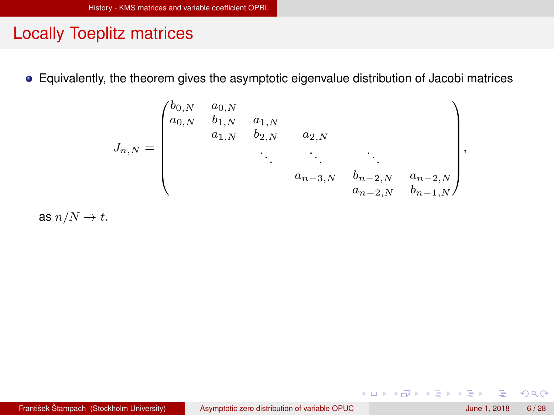<span id="page-14-0"></span>Equivalently, the theorem gives the asymptotic eigenvalue distribution of Jacobi matrices

$$
J_{n,N} = \begin{pmatrix} b_{0,N} & a_{0,N} & a_{1,N} & & \\ a_{0,N} & b_{1,N} & a_{1,N} & & \\ & a_{1,N} & b_{2,N} & a_{2,N} & & \\ & & \ddots & \ddots & \ddots & \\ & & & a_{n-3,N} & b_{n-2,N} & a_{n-2,N} \\ & & & & a_{n-2,N} & b_{n-1,N} \end{pmatrix},
$$

as  $n/N \rightarrow t$ .

 $2990$ 

メロメメ 倒 メメ ミメメ ミメー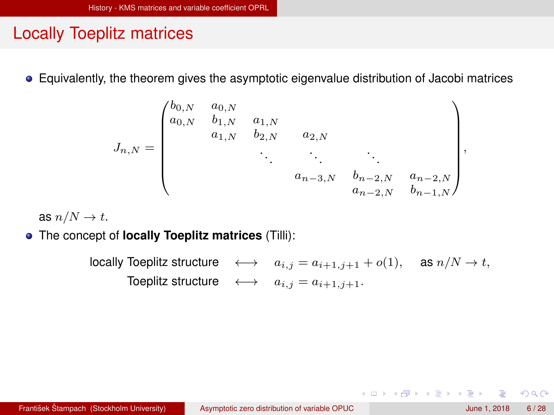<span id="page-15-0"></span>Equivalently, the theorem gives the asymptotic eigenvalue distribution of Jacobi matrices

$$
J_{n,N} = \begin{pmatrix} b_{0,N} & a_{0,N} & a_{1,N} & a_{1,N} \\ a_{0,N} & b_{1,N} & a_{1,N} & a_{2,N} & a_{2,N} \\ & & \ddots & \ddots & \ddots & \ddots & \vdots \\ & & & a_{n-3,N} & b_{n-2,N} & a_{n-2,N} \\ & & & & a_{n-2,N} & b_{n-1,N} \end{pmatrix},
$$

as  $n/N \rightarrow t$ .

The concept of **locally Toeplitz matrices** (Tilli):

locally Toeplitz structure  $\longleftrightarrow a_{i,j} = a_{i+1,j+1} + o(1)$ , as  $n/N \to t$ , Toeplitz structure  $\longleftrightarrow$   $a_{i,j} = a_{i+1,j+1}$ .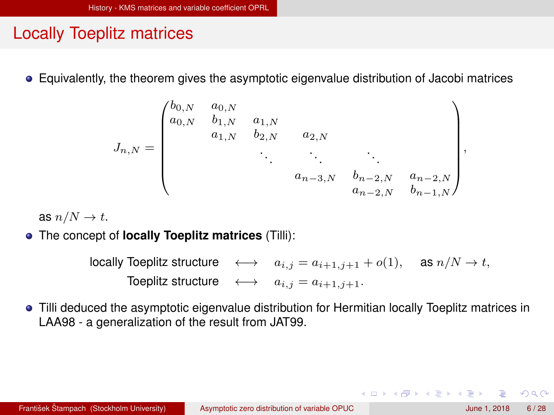<span id="page-16-0"></span>Equivalently, the theorem gives the asymptotic eigenvalue distribution of Jacobi matrices

$$
J_{n,N} = \begin{pmatrix} b_{0,N} & a_{0,N} & a_{1,N} & a_{1,N} \\ a_{0,N} & b_{1,N} & a_{1,N} & a_{2,N} & \cdots & a_{N} \\ & & \ddots & \ddots & \ddots & \ddots & \vdots \\ & & & a_{n-3,N} & b_{n-2,N} & a_{n-2,N} \\ & & & & a_{n-2,N} & b_{n-1,N} \end{pmatrix},
$$

as  $n/N \rightarrow t$ .

The concept of **locally Toeplitz matrices** (Tilli):

locally Toeplitz structure  $\longleftrightarrow a_{i,j} = a_{i+1,j+1} + o(1)$ , as  $n/N \to t$ , Toeplitz structure  $\longleftrightarrow a_{i,j} = a_{i+1,j+1}$ .

Tilli deduced the asymptotic eigenvalue distribution for Hermitian locally Toeplitz matrices in LAA98 - a generalization of the result from JAT99.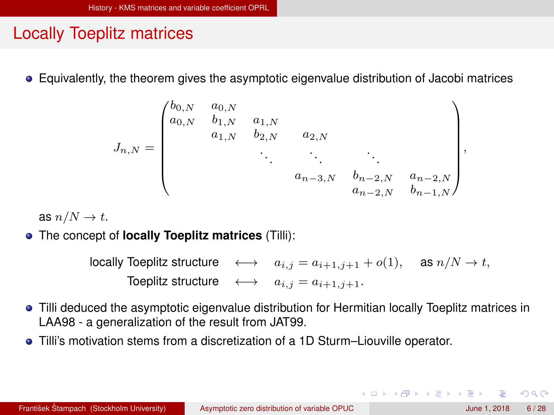<span id="page-17-0"></span>Equivalently, the theorem gives the asymptotic eigenvalue distribution of Jacobi matrices

$$
J_{n,N} = \begin{pmatrix} b_{0,N} & a_{0,N} & a_{1,N} & a_{1,N} \\ a_{0,N} & b_{1,N} & a_{1,N} & a_{2,N} & \cdots & a_{N} \\ & & \ddots & \ddots & \ddots & \ddots & \vdots \\ & & & a_{n-3,N} & b_{n-2,N} & a_{n-2,N} \\ & & & & a_{n-2,N} & b_{n-1,N} \end{pmatrix},
$$

as  $n/N \rightarrow t$ .

The concept of **locally Toeplitz matrices** (Tilli):

locally Toeplitz structure  $\longleftrightarrow a_{i,j} = a_{i+1,j+1} + o(1)$ , as  $n/N \to t$ , Toeplitz structure  $\longleftrightarrow a_{i,j} = a_{i+1,j+1}$ .

- Tilli deduced the asymptotic eigenvalue distribution for Hermitian locally Toeplitz matrices in LAA98 - a generalization of the result from JAT99.
- Tilli's motivation stems from a discretization of a 1D Sturm–Liouville operator.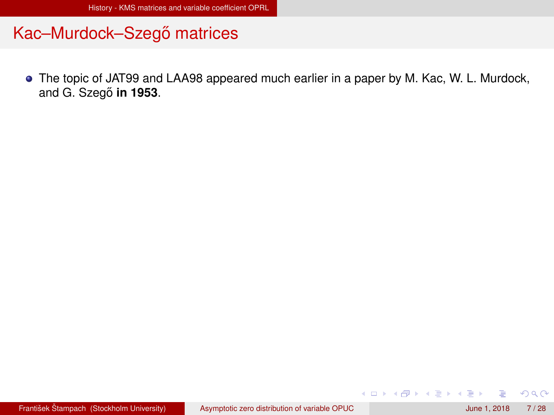<span id="page-18-0"></span>The topic of JAT99 and LAA98 appeared much earlier in a paper by M. Kac, W. L. Murdock, and G. Szegő in 1953.

 $2Q$ 

イロメ イ母メ イヨメ イヨメ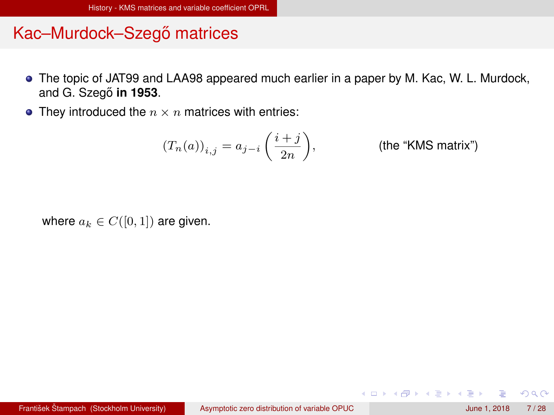- <span id="page-19-0"></span>The topic of JAT99 and LAA98 appeared much earlier in a paper by M. Kac, W. L. Murdock, and G. Szegő in 1953.
- They introduced the  $n \times n$  matrices with entries:

$$
(T_n(a))_{i,j} = a_{j-i} \left(\frac{i+j}{2n}\right), \qquad \text{(the "KMS matrix")}
$$

where  $a_k \in C([0,1])$  are given.

イロト イ母 トイラ トイラトー

 $2990$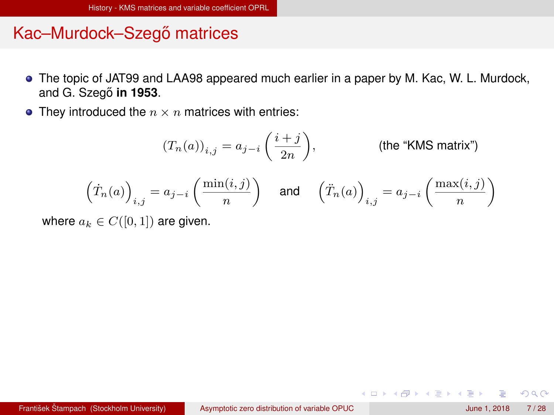- <span id="page-20-0"></span>The topic of JAT99 and LAA98 appeared much earlier in a paper by M. Kac, W. L. Murdock, and G. Szegő in 1953.
- They introduced the  $n \times n$  matrices with entries:

$$
(T_n(a))_{i,j} = a_{j-i} \left(\frac{i+j}{2n}\right), \qquad \qquad \text{(the "KMS matrix")}
$$

 $OQ$ 

G.

≮ロト (御) (連) (連) (

$$
\left(\dot{T}_n(a)\right)_{i,j} = a_{j-i}\left(\frac{\min(i,j)}{n}\right) \quad \text{ and } \quad \left(\ddot{T}_n(a)\right)_{i,j} = a_{j-i}\left(\frac{\max(i,j)}{n}\right)
$$

where  $a_k \in C([0,1])$  are given.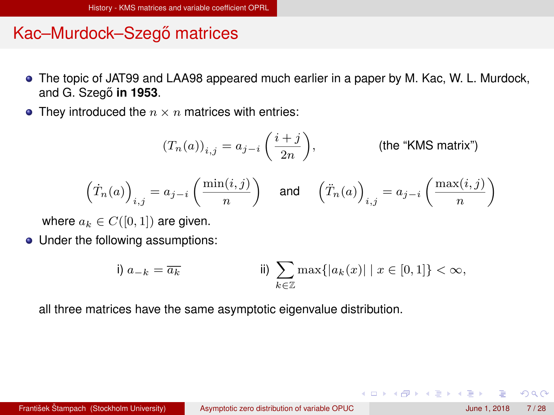- <span id="page-21-0"></span>The topic of JAT99 and LAA98 appeared much earlier in a paper by M. Kac, W. L. Murdock, and G. Szegő in 1953.
- They introduced the  $n \times n$  matrices with entries:

$$
(T_n(a))_{i,j} = a_{j-i} \left(\frac{i+j}{2n}\right),
$$
 (the "KMS matrix")

$$
\left(\dot{T}_n(a)\right)_{i,j} = a_{j-i}\left(\frac{\min(i,j)}{n}\right) \quad \text{ and } \quad \left(\ddot{T}_n(a)\right)_{i,j} = a_{j-i}\left(\frac{\max(i,j)}{n}\right)
$$

where  $a_k \in C([0, 1])$  are given.

• Under the following assumptions:

i) 
$$
a_{-k} = \overline{a_k}
$$
   
ii)  $\sum_{k \in \mathbb{Z}} \max\{|a_k(x)| \mid x \in [0, 1]\} < \infty$ ,

all three matrices have the same asymptotic eigenvalue distribution.

 $\Omega$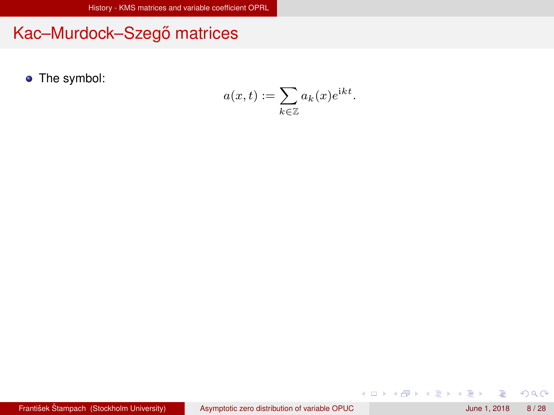<span id="page-22-0"></span>• The symbol:

$$
a(x,t) := \sum_{k \in \mathbb{Z}} a_k(x) e^{\mathrm{i}kt}.
$$

František Štampach (Stockholm University) [Asymptotic zero distribution of variable OPUC](#page-0-0) June 1, 2018 8 / 28

 $299$ 

メロトメ 伊 トメ ミトメ ミト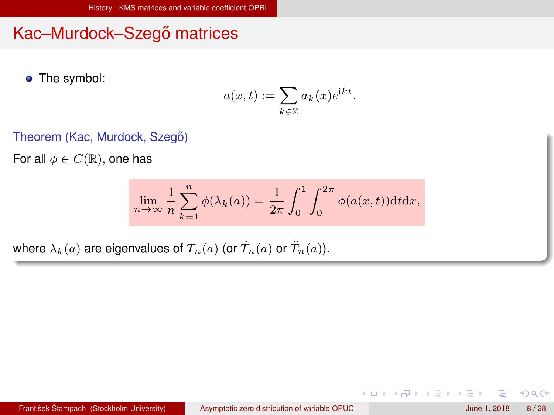<span id="page-23-0"></span>• The symbol:

$$
a(x,t):=\sum_{k\in\mathbb{Z}}a_k(x)e^{{\rm i} kt}.
$$

Theorem (Kac, Murdock, Szegő)

For all  $\phi \in C(\mathbb{R})$ , one has

$$
\lim_{n \to \infty} \frac{1}{n} \sum_{k=1}^{n} \phi(\lambda_k(a)) = \frac{1}{2\pi} \int_0^1 \int_0^{2\pi} \phi(a(x,t)) \mathrm{d}t \mathrm{d}x,
$$

where  $\lambda_k(a)$  are eigenvalues of  $T_n(a)$  (or  $T_n(a)$ ).

 $QQ$ 

**K ロ ト K 何 ト**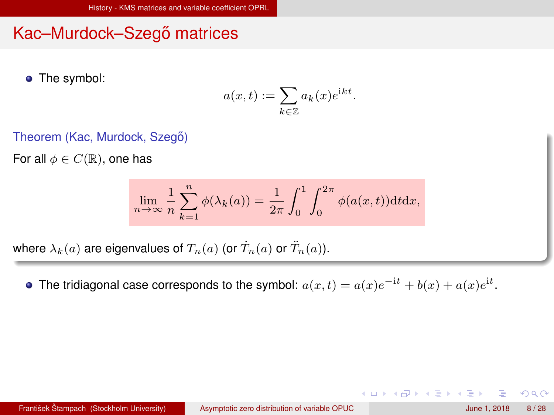<span id="page-24-0"></span>• The symbol:

$$
a(x,t):=\sum_{k\in\mathbb{Z}}a_k(x)e^{{\rm i} kt}.
$$

Theorem (Kac, Murdock, Szegő)

For all  $\phi \in C(\mathbb{R})$ , one has

$$
\lim_{n \to \infty} \frac{1}{n} \sum_{k=1}^{n} \phi(\lambda_k(a)) = \frac{1}{2\pi} \int_0^1 \int_0^{2\pi} \phi(a(x,t)) \mathrm{d}t \mathrm{d}x,
$$

where  $\lambda_k(a)$  are eigenvalues of  $T_n(a)$  (or  $T_n(a)$  or  $T_n(a)$ ).

The tridiagonal case corresponds to the symbol:  $a(x,t) = a(x)e^{-\mathrm{i}t} + b(x) + a(x)e^{\mathrm{i}t}$ .

 $QQ$ 

イロト イ母 トイラト イラト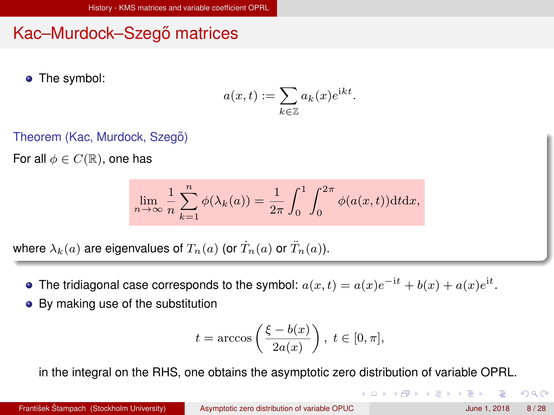<span id="page-25-0"></span>• The symbol:

$$
a(x,t):=\sum_{k\in\mathbb{Z}}a_k(x)e^{{\rm i} kt}.
$$

Theorem (Kac, Murdock, Szegő)

For all  $\phi \in C(\mathbb{R})$ , one has

$$
\lim_{n \to \infty} \frac{1}{n} \sum_{k=1}^{n} \phi(\lambda_k(a)) = \frac{1}{2\pi} \int_0^1 \int_0^{2\pi} \phi(a(x,t)) \mathrm{d}t \mathrm{d}x,
$$

where  $\lambda_k(a)$  are eigenvalues of  $T_n(a)$  (or  $T_n(a)$  or  $T_n(a)$ ).

- The tridiagonal case corresponds to the symbol:  $a(x,t) = a(x)e^{-\mathrm{i}t} + b(x) + a(x)e^{\mathrm{i}t}$ .
- By making use of the substitution

$$
t = \arccos\left(\frac{\xi - b(x)}{2a(x)}\right), \ t \in [0, \pi],
$$

in the integral on the RHS, one obtains the asymptotic zero distribution of variable OPRL.

 $\Omega$ 

( ロ ) ( 何 ) ( ヨ ) ( ヨ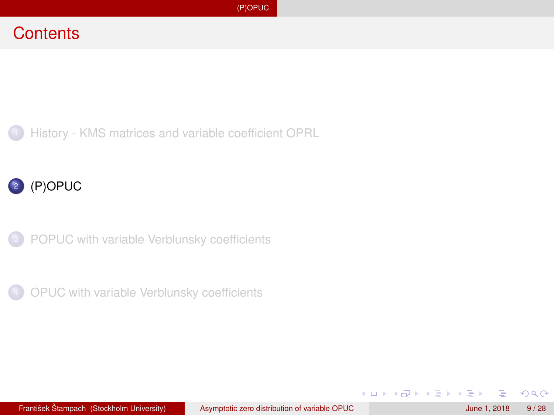#### <span id="page-26-0"></span>**Contents**

[History - KMS matrices and variable coefficient OPRL](#page-1-0)

#### <sup>2</sup> [\(P\)OPUC](#page-26-0)

<sup>3</sup> [POPUC with variable Verblunsky coefficients](#page-42-0)

<sup>4</sup> [OPUC with variable Verblunsky coefficients](#page-78-0)

 $2Q$ 

**K ロ ⊁ K 倒 ≯ K ミ ⊁ K ミ ⊁**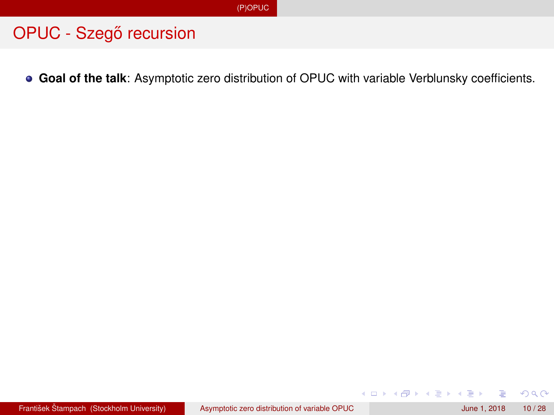#### <span id="page-27-0"></span>OPUC - Szegő recursion

**Goal of the talk**: Asymptotic zero distribution of OPUC with variable Verblunsky coefficients.

 $QQ$ 

**K ロ ⊁ K 倒 ≯ K ミ ⊁ K ミ ⊁**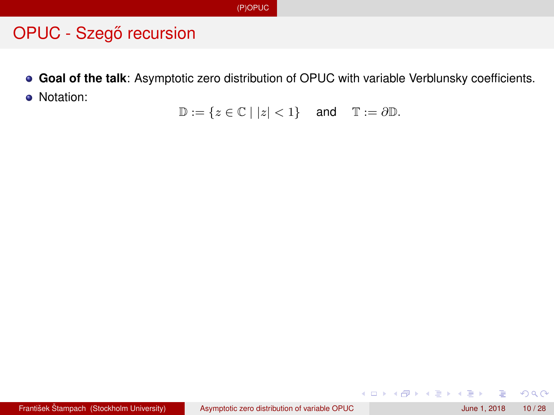#### <span id="page-28-0"></span>OPUC - Szegő recursion

- **Goal of the talk**: Asymptotic zero distribution of OPUC with variable Verblunsky coefficients.
- Notation:

 $\mathbb{D} := \{z \in \mathbb{C} \mid |z| < 1\}$  and  $\mathbb{T} := \partial \mathbb{D}$ .

K ロ ▶ K 個 ▶ K 로 ▶ K 로 ▶ - 로 - K 9 Q @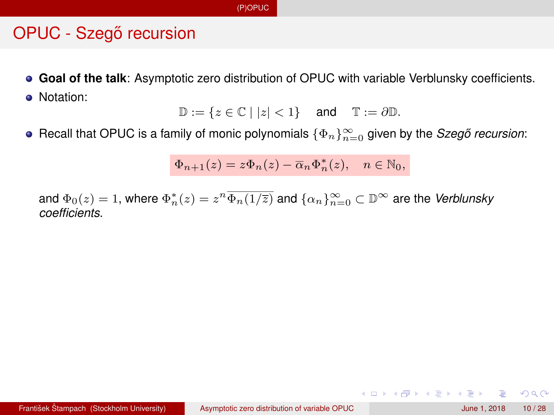#### <span id="page-29-0"></span>OPUC - Szegő recursion

- **Goal of the talk**: Asymptotic zero distribution of OPUC with variable Verblunsky coefficients.
- Notation:

$$
\mathbb{D} := \{ z \in \mathbb{C} \mid |z| < 1 \} \quad \text{ and } \quad \mathbb{T} := \partial \mathbb{D}.
$$

• Recall that OPUC is a family of monic polynomials  $\{\Phi_n\}_{n=0}^{\infty}$  given by the *Szegő recursion*:

$$
\Phi_{n+1}(z) = z \Phi_n(z) - \overline{\alpha}_n \Phi_n^*(z), \quad n \in \mathbb{N}_0,
$$

and  $\Phi_0(z)=1$ , where  $\Phi_n^*(z)=z^n\overline{\Phi_n(1/\overline{z})}$  and  $\{\alpha_n\}_{n=0}^\infty\subset\mathbb{D}^\infty$  are the *Verblunsky coefficients*.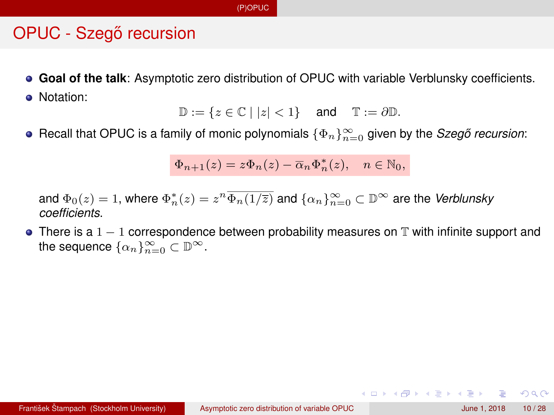#### <span id="page-30-0"></span>OPUC - Szegő recursion

- **Goal of the talk**: Asymptotic zero distribution of OPUC with variable Verblunsky coefficients.
- Notation:

$$
\mathbb{D} := \{ z \in \mathbb{C} \mid |z| < 1 \} \quad \text{ and } \quad \mathbb{T} := \partial \mathbb{D}.
$$

**• Recall that OPUC is a family of monic polynomials**  $\{\Phi_n\}_{n=0}^{\infty}$  **given by the** *Szegő recursion***:** 

$$
\Phi_{n+1}(z) = z\Phi_n(z) - \overline{\alpha}_n \Phi_n^*(z), \quad n \in \mathbb{N}_0,
$$

and  $\Phi_0(z)=1$ , where  $\Phi_n^*(z)=z^n\overline{\Phi_n(1/\overline{z})}$  and  $\{\alpha_n\}_{n=0}^\infty\subset\mathbb{D}^\infty$  are the *Verblunsky coefficients*.

 $\bullet$  There is a 1 – 1 correspondence between probability measures on T with infinite support and the sequence  $\{\alpha_n\}_{n=0}^{\infty} \subset \mathbb{D}^{\infty}$ .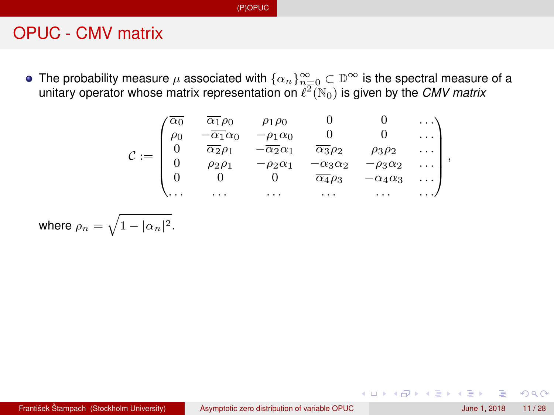#### <span id="page-31-0"></span>OPUC - CMV matrix

The probability measure  $\mu$  associated with  $\{\alpha_n\}_{n=0}^\infty\subset\mathbb{D}^\infty$  is the spectral measure of a unitary operator whose matrix representation on  $\ell^2(\mathbb{N}_0)$  is given by the *CMV matrix* 

$$
\mathcal{C}:=\begin{pmatrix} \overline{\alpha_0} & \overline{\alpha_1}\rho_0 & \rho_1\rho_0 & 0 & 0 & \dots \\ \rho_0 & -\overline{\alpha_1}\alpha_0 & -\rho_1\alpha_0 & 0 & 0 & \dots \\ 0 & \overline{\alpha_2}\rho_1 & -\overline{\alpha_2}\alpha_1 & \overline{\alpha_3}\rho_2 & \rho_3\rho_2 & \dots \\ 0 & \rho_2\rho_1 & -\rho_2\alpha_1 & -\overline{\alpha_3}\alpha_2 & -\rho_3\alpha_2 & \dots \\ 0 & 0 & 0 & \overline{\alpha_4}\rho_3 & -\alpha_4\alpha_3 & \dots \\ \dots & \dots & \dots & \dots & \dots & \dots \end{pmatrix},
$$

where 
$$
\rho_n = \sqrt{1 - |\alpha_n|^2}
$$
.

 $2Q$ 

メロメメ 倒 メメ ミメメ ミメ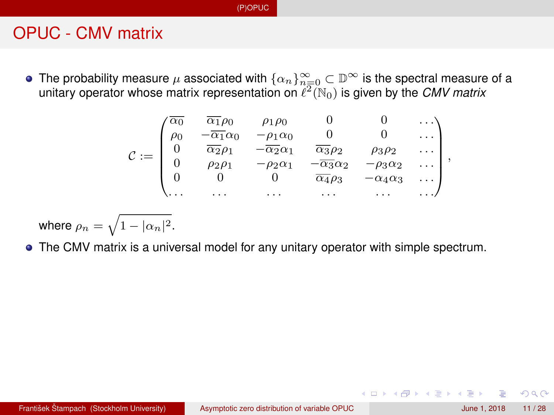### <span id="page-32-0"></span>OPUC - CMV matrix

The probability measure  $\mu$  associated with  $\{\alpha_n\}_{n=0}^\infty\subset\mathbb{D}^\infty$  is the spectral measure of a unitary operator whose matrix representation on  $\ell^2(\mathbb{N}_0)$  is given by the *CMV matrix* 

$$
\mathcal{C}:=\begin{pmatrix} \overline{\alpha_0} & \overline{\alpha_1}\rho_0 & \rho_1\rho_0 & 0 & 0 & \dots \\ \rho_0 & -\overline{\alpha_1}\alpha_0 & -\rho_1\alpha_0 & 0 & 0 & \dots \\ 0 & \overline{\alpha_2}\rho_1 & -\overline{\alpha_2}\alpha_1 & \overline{\alpha_3}\rho_2 & \rho_3\rho_2 & \dots \\ 0 & \rho_2\rho_1 & -\rho_2\alpha_1 & -\overline{\alpha_3}\alpha_2 & -\rho_3\alpha_2 & \dots \\ 0 & 0 & 0 & \overline{\alpha_4}\rho_3 & -\alpha_4\alpha_3 & \dots \\ \dots & \dots & \dots & \dots & \dots & \dots \end{pmatrix},
$$

where  $\rho_n = \sqrt{1 - |\alpha_n|^2}.$ 

• The CMV matrix is a universal model for any unitary operator with simple spectrum.

イロメ イ母メ イヨメ イヨメーヨ

 $\Omega$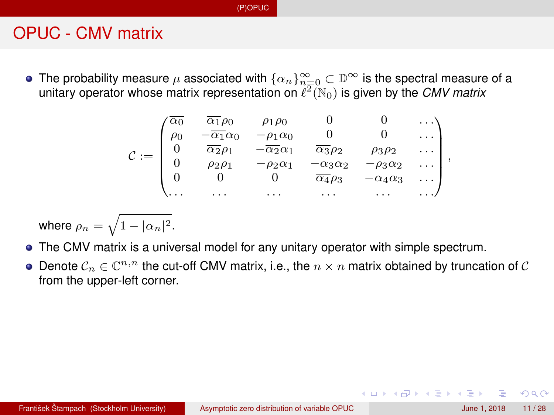### <span id="page-33-0"></span>OPUC - CMV matrix

• The probability measure  $\mu$  associated with  $\{\alpha_n\}_{n=0}^{\infty}\subset\mathbb{D}^{\infty}$  is the spectral measure of a unitary operator whose matrix representation on  $\ell^2(\mathbb{N}_0)$  is given by the *CMV matrix* 

$$
\mathcal{C}:=\begin{pmatrix} \overline{\alpha_0} & \overline{\alpha_1}\rho_0 & \rho_1\rho_0 & 0 & 0 & \dots \\ \rho_0 & -\overline{\alpha_1}\alpha_0 & -\rho_1\alpha_0 & 0 & 0 & \dots \\ 0 & \overline{\alpha_2}\rho_1 & -\overline{\alpha_2}\alpha_1 & \overline{\alpha_3}\rho_2 & \rho_3\rho_2 & \dots \\ 0 & \rho_2\rho_1 & -\rho_2\alpha_1 & -\overline{\alpha_3}\alpha_2 & -\rho_3\alpha_2 & \dots \\ 0 & 0 & 0 & \overline{\alpha_4}\rho_3 & -\alpha_4\alpha_3 & \dots \\ \dots & \dots & \dots & \dots & \dots & \dots \end{pmatrix},
$$

where  $\rho_n = \sqrt{1 - |\alpha_n|^2}.$ 

- The CMV matrix is a universal model for any unitary operator with simple spectrum.
- Denote  $C_n \in \mathbb{C}^{n,n}$  the cut-off CMV matrix, i.e., the  $n \times n$  matrix obtained by truncation of  $\mathcal C$ from the upper-left corner.

◆ロト→個→→●君ト→君ト→君

 $\Omega$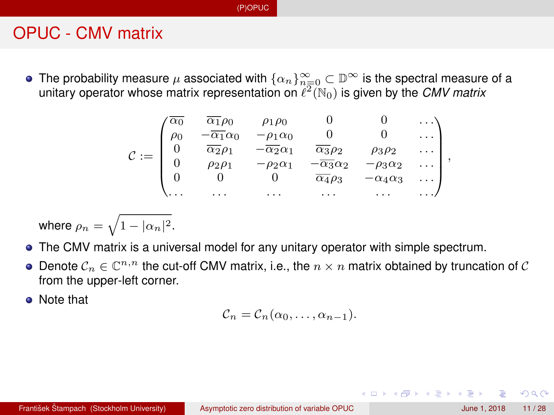#### <span id="page-34-0"></span>OPUC - CMV matrix

• The probability measure  $\mu$  associated with  $\{\alpha_n\}_{n=0}^{\infty}\subset\mathbb{D}^{\infty}$  is the spectral measure of a unitary operator whose matrix representation on  $\ell^2(\mathbb{N}_0)$  is given by the *CMV matrix* 

$$
\mathcal{C}:=\begin{pmatrix} \overline{\alpha_0} & \overline{\alpha_1}\rho_0 & \rho_1\rho_0 & 0 & 0 & \dots \\ \rho_0 & -\overline{\alpha_1}\alpha_0 & -\rho_1\alpha_0 & 0 & 0 & \dots \\ 0 & \overline{\alpha_2}\rho_1 & -\overline{\alpha_2}\alpha_1 & \overline{\alpha_3}\rho_2 & \rho_3\rho_2 & \dots \\ 0 & \rho_2\rho_1 & -\rho_2\alpha_1 & -\overline{\alpha_3}\alpha_2 & -\rho_3\alpha_2 & \dots \\ 0 & 0 & 0 & \overline{\alpha_4}\rho_3 & -\alpha_4\alpha_3 & \dots \\ \dots & \dots & \dots & \dots & \dots & \dots \end{pmatrix},
$$

where  $\rho_n = \sqrt{1 - |\alpha_n|^2}.$ 

- The CMV matrix is a universal model for any unitary operator with simple spectrum.
- Denote  $C_n \in \mathbb{C}^{n,n}$  the cut-off CMV matrix, i.e., the  $n \times n$  matrix obtained by truncation of  $\mathcal C$ from the upper-left corner.
- Note that

$$
C_n = C_n(\alpha_0,\ldots,\alpha_{n-1}).
$$

 $\Omega$ 

イロン イ団ン イヨン イヨン 一番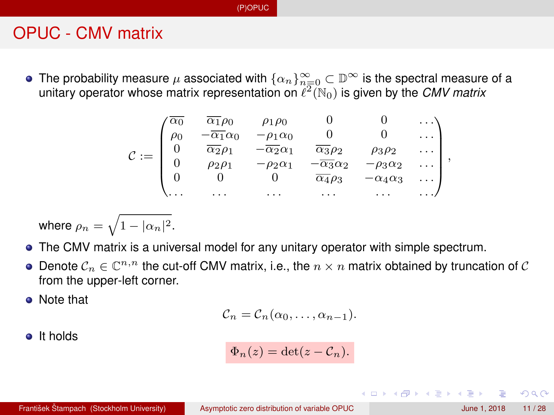#### <span id="page-35-0"></span>OPUC - CMV matrix

• The probability measure  $\mu$  associated with  $\{\alpha_n\}_{n=0}^{\infty}\subset\mathbb{D}^{\infty}$  is the spectral measure of a unitary operator whose matrix representation on  $\ell^2(\mathbb{N}_0)$  is given by the *CMV matrix* 

$$
\mathcal{C}:=\begin{pmatrix} \overline{\alpha_0} & \overline{\alpha_1}\rho_0 & \rho_1\rho_0 & 0 & 0 & \dots \\ \rho_0 & -\overline{\alpha_1}\alpha_0 & -\rho_1\alpha_0 & 0 & 0 & \dots \\ 0 & \overline{\alpha_2}\rho_1 & -\overline{\alpha_2}\alpha_1 & \overline{\alpha_3}\rho_2 & \rho_3\rho_2 & \dots \\ 0 & \rho_2\rho_1 & -\rho_2\alpha_1 & -\overline{\alpha_3}\alpha_2 & -\rho_3\alpha_2 & \dots \\ 0 & 0 & 0 & \overline{\alpha_4}\rho_3 & -\alpha_4\alpha_3 & \dots \\ \dots & \dots & \dots & \dots & \dots & \dots \end{pmatrix},
$$

where  $\rho_n = \sqrt{1 - |\alpha_n|^2}.$ 

- The CMV matrix is a universal model for any unitary operator with simple spectrum.
- Denote  $C_n \in \mathbb{C}^{n,n}$  the cut-off CMV matrix, i.e., the  $n \times n$  matrix obtained by truncation of  $\mathcal C$ from the upper-left corner.
- Note that

$$
C_n = C_n(\alpha_0,\ldots,\alpha_{n-1}).
$$

• It holds

$$
\Phi_n(z) = \det(z - \mathcal{C}_n).
$$

 $\Omega$ 

イロン イ団ン イヨン イヨン 一番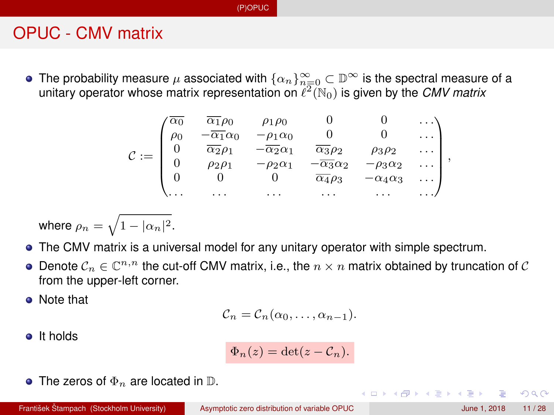# <span id="page-36-0"></span>OPUC - CMV matrix

• The probability measure  $\mu$  associated with  $\{\alpha_n\}_{n=0}^{\infty}\subset\mathbb{D}^{\infty}$  is the spectral measure of a unitary operator whose matrix representation on  $\ell^2(\mathbb{N}_0)$  is given by the *CMV matrix* 

$$
\mathcal{C}:=\begin{pmatrix} \overline{\alpha_0} & \overline{\alpha_1}\rho_0 & \rho_1\rho_0 & 0 & 0 & \dots \\ \rho_0 & -\overline{\alpha_1}\alpha_0 & -\rho_1\alpha_0 & 0 & 0 & \dots \\ 0 & \overline{\alpha_2}\rho_1 & -\overline{\alpha_2}\alpha_1 & \overline{\alpha_3}\rho_2 & \rho_3\rho_2 & \dots \\ 0 & \rho_2\rho_1 & -\rho_2\alpha_1 & -\overline{\alpha_3}\alpha_2 & -\rho_3\alpha_2 & \dots \\ 0 & 0 & 0 & \overline{\alpha_4}\rho_3 & -\alpha_4\alpha_3 & \dots \\ \dots & \dots & \dots & \dots & \dots & \dots \end{pmatrix},
$$

where  $\rho_n = \sqrt{1 - |\alpha_n|^2}.$ 

- The CMV matrix is a universal model for any unitary operator with simple spectrum.
- Denote  $C_n \in \mathbb{C}^{n,n}$  the cut-off CMV matrix, i.e., the  $n \times n$  matrix obtained by truncation of  $\mathcal C$ from the upper-left corner.
- Note that

$$
C_n=C_n(\alpha_0,\ldots,\alpha_{n-1}).
$$

• It holds

$$
\Phi_n(z) = \det(z - \mathcal{C}_n).
$$

• The zeros of  $\Phi_n$  are located in  $\mathbb{D}$ .

 $QQQ$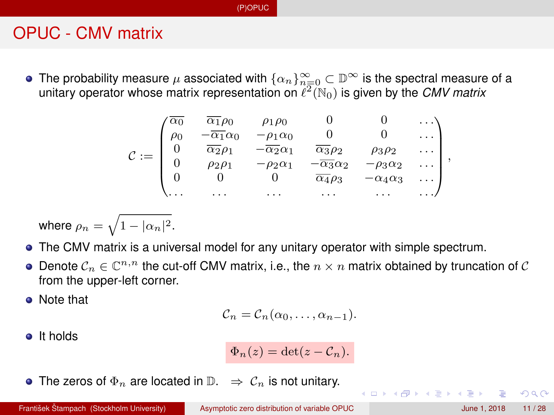# <span id="page-37-0"></span>OPUC - CMV matrix

• The probability measure  $\mu$  associated with  $\{\alpha_n\}_{n=0}^{\infty}\subset\mathbb{D}^{\infty}$  is the spectral measure of a unitary operator whose matrix representation on  $\ell^2(\mathbb{N}_0)$  is given by the *CMV matrix* 

$$
\mathcal{C}:=\begin{pmatrix} \overline{\alpha_0} & \overline{\alpha_1}\rho_0 & \rho_1\rho_0 & 0 & 0 & \dots \\ \rho_0 & -\overline{\alpha_1}\alpha_0 & -\rho_1\alpha_0 & 0 & 0 & \dots \\ 0 & \overline{\alpha_2}\rho_1 & -\overline{\alpha_2}\alpha_1 & \overline{\alpha_3}\rho_2 & \rho_3\rho_2 & \dots \\ 0 & \rho_2\rho_1 & -\rho_2\alpha_1 & -\overline{\alpha_3}\alpha_2 & -\rho_3\alpha_2 & \dots \\ 0 & 0 & 0 & \overline{\alpha_4}\rho_3 & -\alpha_4\alpha_3 & \dots \\ \dots & \dots & \dots & \dots & \dots & \dots \end{pmatrix},
$$

where  $\rho_n = \sqrt{1 - |\alpha_n|^2}.$ 

- The CMV matrix is a universal model for any unitary operator with simple spectrum.
- Denote  $C_n \in \mathbb{C}^{n,n}$  the cut-off CMV matrix, i.e., the  $n \times n$  matrix obtained by truncation of  $\mathcal C$ from the upper-left corner.
- Note that

$$
C_n = C_n(\alpha_0,\ldots,\alpha_{n-1}).
$$

• It holds

$$
\Phi_n(z) = \det(z - C_n).
$$

• The zeros of  $\Phi_n$  are located in  $\mathbb{D}$ .  $\Rightarrow \mathcal{C}_n$  is not unitary.

 $\Omega$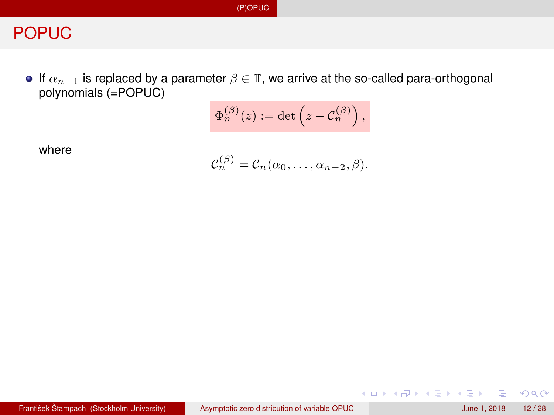### <span id="page-38-0"></span>POPUC

• If  $\alpha_{n-1}$  is replaced by a parameter  $\beta \in \mathbb{T}$ , we arrive at the so-called para-orthogonal polynomials (=POPUC)

$$
\Phi_n^{(\beta)}(z):=\det\left(z-\mathcal{C}_n^{(\beta)}\right),
$$

where

$$
\mathcal{C}_n^{(\beta)} = \mathcal{C}_n(\alpha_0, \ldots, \alpha_{n-2}, \beta).
$$

 $OQ$ 

メロメメ 御 メメ きょく ミメー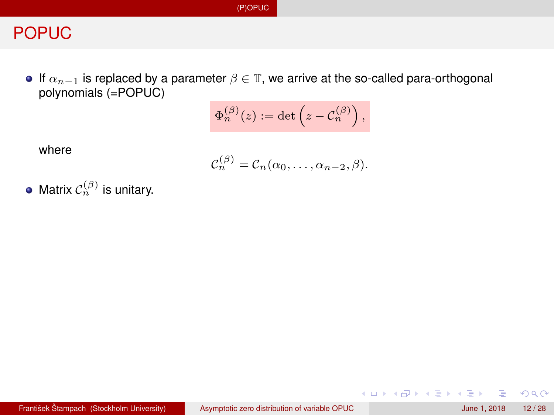### <span id="page-39-0"></span>POPUC

• If  $\alpha_{n-1}$  is replaced by a parameter  $\beta \in \mathbb{T}$ , we arrive at the so-called para-orthogonal polynomials (=POPUC)

$$
\Phi_n^{(\beta)}(z):=\det\left(z-\mathcal{C}_n^{(\beta)}\right),
$$

where

$$
\mathcal{C}_n^{(\beta)} = \mathcal{C}_n(\alpha_0,\ldots,\alpha_{n-2},\beta).
$$

Matrix  $\mathcal{C}_n^{(\beta)}$  is unitary.

 $PQQ$ 

**K ロ ⊁ K 倒 ≯ K ミ ⊁ K ミ ⊁**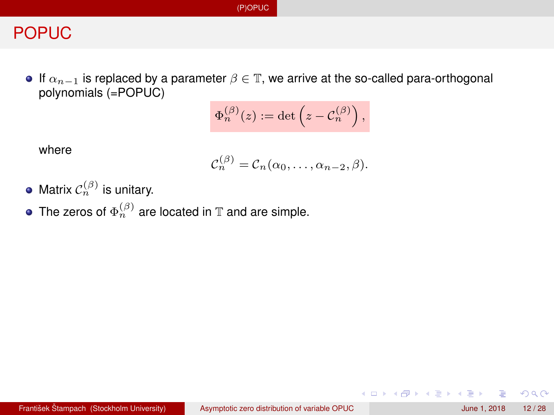## <span id="page-40-0"></span>POPUC

If  $\alpha_{n-1}$  is replaced by a parameter  $\beta \in \mathbb{T}$ , we arrive at the so-called para-orthogonal polynomials (=POPUC)

$$
\Phi_n^{(\beta)}(z):=\det\left(z-\mathcal{C}_n^{(\beta)}\right),
$$

where

$$
\mathcal{C}_n^{(\beta)} = \mathcal{C}_n(\alpha_0,\ldots,\alpha_{n-2},\beta).
$$

- Matrix  $\mathcal{C}_n^{(\beta)}$  is unitary.
- The zeros of  $\Phi_n^{(\beta)}$  are located in  $\mathbb T$  and are simple.

イロン イ団ン イヨン イヨン 一番

 $OQ$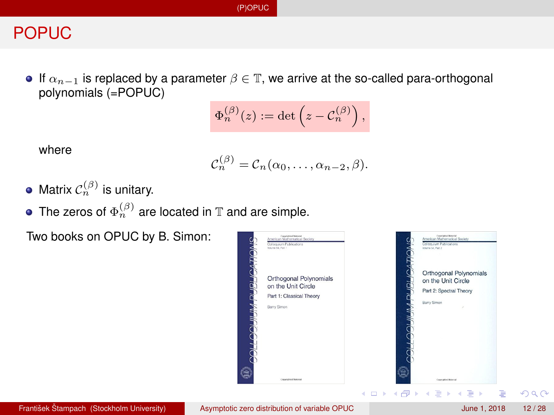### <span id="page-41-0"></span>POPUC

If  $\alpha_{n-1}$  is replaced by a parameter  $\beta \in \mathbb{T}$ , we arrive at the so-called para-orthogonal polynomials (=POPUC)

$$
\Phi_n^{(\beta)}(z):=\det\left(z-\mathcal{C}_n^{(\beta)}\right),
$$

where

$$
\mathcal{C}_n^{(\beta)} = \mathcal{C}_n(\alpha_0,\ldots,\alpha_{n-2},\beta).
$$

- Matrix  $\mathcal{C}_n^{(\beta)}$  is unitary.
- The zeros of  $\Phi_n^{(\beta)}$  are located in  $\mathbb T$  and are simple.

Two books on OPUC by B. Simon:



 $QQ$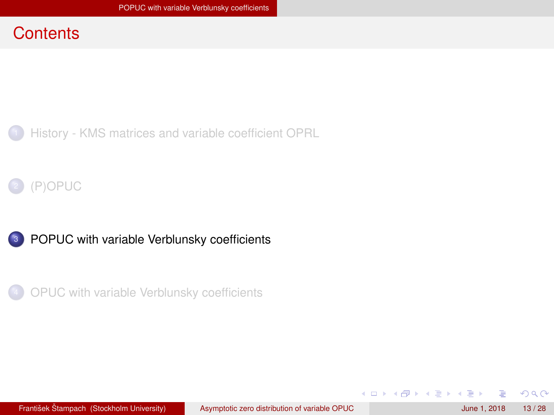### <span id="page-42-0"></span>**Contents**

[History - KMS matrices and variable coefficient OPRL](#page-1-0)



<sup>3</sup> [POPUC with variable Verblunsky coefficients](#page-42-0)

<sup>4</sup> [OPUC with variable Verblunsky coefficients](#page-78-0)

 $2Q$ 

**K ロ ⊁ K 倒 ≯ K ミ ⊁ K ミ ⊁**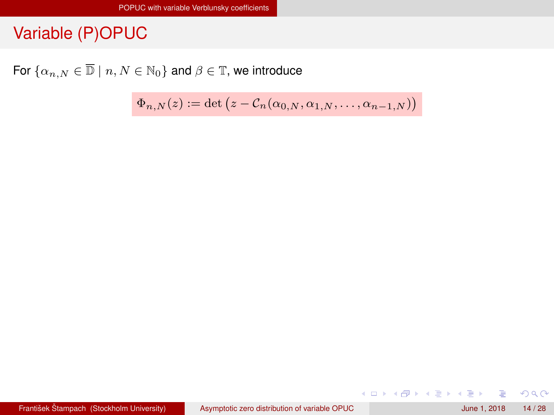<span id="page-43-0"></span>For  $\{\alpha_{n,N}\in\overline{\mathbb{D}}\mid n,N\in\mathbb{N}_0\}$  and  $\beta\in\mathbb{T}$ , we introduce

$$
\Phi_{n,N}(z) := \det \left( z - C_n(\alpha_{0,N}, \alpha_{1,N}, \ldots, \alpha_{n-1,N}) \right)
$$

 $OQ$ 

メロメメ 御 メメ きょく ミメー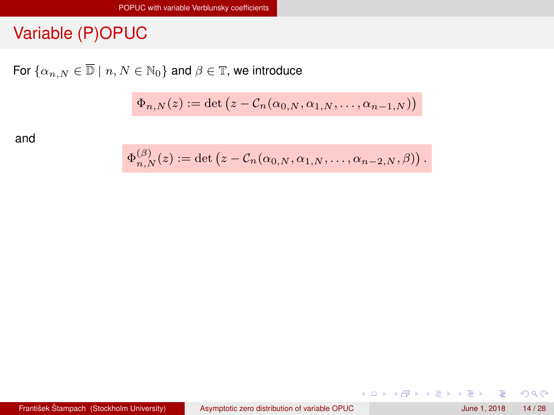<span id="page-44-0"></span>For  $\{\alpha_{n,N}\in\overline{\mathbb{D}}\mid n,N\in\mathbb{N}_0\}$  and  $\beta\in\mathbb{T}$ , we introduce

$$
\Phi_{n,N}(z) := \det (z - C_n(\alpha_{0,N}, \alpha_{1,N}, \ldots, \alpha_{n-1,N}))
$$

and

$$
\Phi_{n,N}^{(\beta)}(z) := \det \left( z - \mathcal{C}_n(\alpha_{0,N}, \alpha_{1,N}, \ldots, \alpha_{n-2,N}, \beta) \right).
$$

 $PQQ$ 

メロメメ 倒 メメ ミメメ ミメー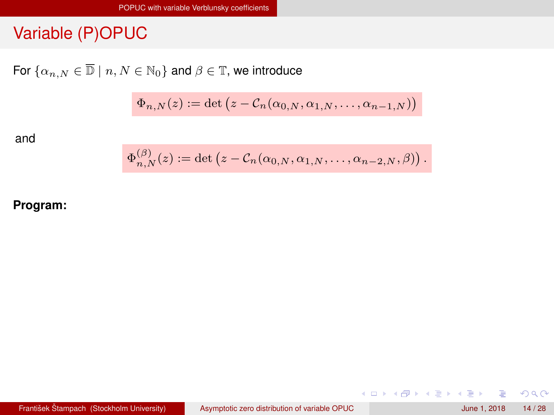<span id="page-45-0"></span>For  $\{\alpha_{n,N}\in\overline{\mathbb{D}}\mid n,N\in\mathbb{N}_0\}$  and  $\beta\in\mathbb{T}$ , we introduce

$$
\Phi_{n,N}(z) := \det (z - C_n(\alpha_{0,N}, \alpha_{1,N}, \ldots, \alpha_{n-1,N}))
$$

and

$$
\Phi_{n,N}^{(\beta)}(z) := \det \left( z - \mathcal{C}_n(\alpha_{0,N}, \alpha_{1,N}, \ldots, \alpha_{n-2,N}, \beta) \right).
$$

#### **Program:**

 $QQ$ 

メロトメ 伊 トメ ミトメ ミト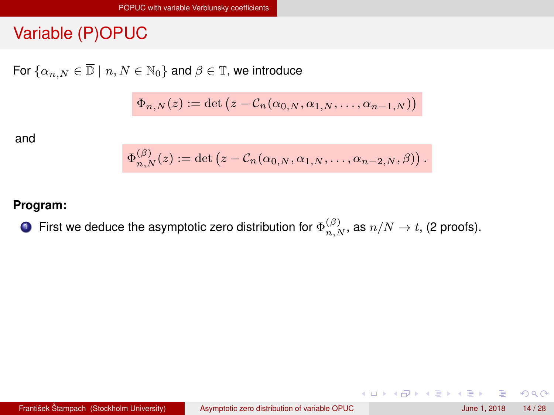<span id="page-46-0"></span>For  $\{\alpha_{n,N} \in \overline{\mathbb{D}} \mid n, N \in \mathbb{N}_0\}$  and  $\beta \in \mathbb{T}$ , we introduce

$$
\Phi_{n,N}(z) := \det \left( z - C_n(\alpha_{0,N}, \alpha_{1,N}, \ldots, \alpha_{n-1,N}) \right)
$$

and

$$
\Phi_{n,N}^{(\beta)}(z) := \det \left( z - C_n(\alpha_{0,N}, \alpha_{1,N}, \ldots, \alpha_{n-2,N}, \beta) \right).
$$

#### **Program:**

 $\bullet$  First we deduce the asymptotic zero distribution for  $\Phi_{n,N}^{(\beta)}$ , as  $n/N\to t$ , (2 proofs).

イロト イ母 トイヨ トイヨ トー

 $\Rightarrow$  $\Omega$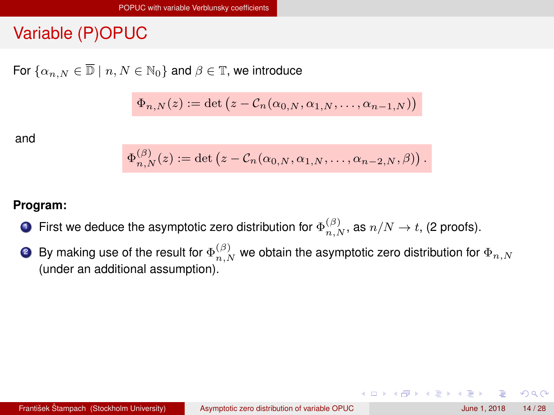<span id="page-47-0"></span>For  $\{\alpha_{n,N} \in \overline{D} \mid n, N \in \mathbb{N}_0\}$  and  $\beta \in \mathbb{T}$ , we introduce

$$
\Phi_{n,N}(z) := \det (z - C_n(\alpha_{0,N}, \alpha_{1,N}, \ldots, \alpha_{n-1,N}))
$$

and

$$
\Phi_{n,N}^{(\beta)}(z) := \det \left( z - C_n(\alpha_{0,N}, \alpha_{1,N}, \ldots, \alpha_{n-2,N}, \beta) \right).
$$

#### **Program:**

- $\bullet$  First we deduce the asymptotic zero distribution for  $\Phi_{n,N}^{(\beta)}$ , as  $n/N\to t$ , (2 proofs).
- $\bullet$  By making use of the result for  $\Phi_{n,N}^{(\beta)}$  we obtain the asymptotic zero distribution for  $\Phi_{n,N}$ (under an additional assumption).

イロメ イ母メ イヨメ イヨメ

 $QQQ$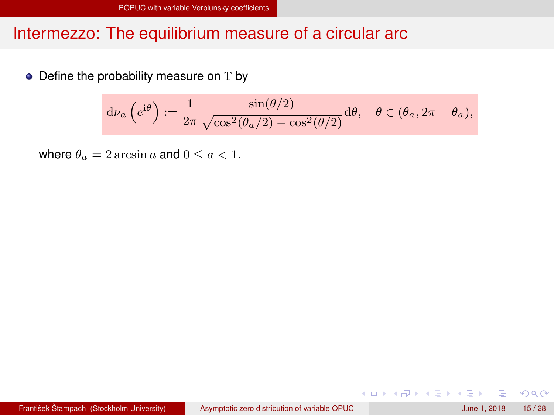<span id="page-48-0"></span> $\bullet$  Define the probability measure on  $\mathbb T$  by

$$
\mathrm{d}\nu_a\left(e^{\mathrm{i}\theta}\right) := \frac{1}{2\pi} \frac{\sin(\theta/2)}{\sqrt{\cos^2(\theta_a/2) - \cos^2(\theta/2)}} \mathrm{d}\theta, \quad \theta \in (\theta_a, 2\pi - \theta_a),
$$

where  $\theta_a = 2 \arcsin a$  and  $0 \le a < 1$ .

 $\Omega$ 

K ロ ▶ K 御 ▶ K 唐 ▶ K 唐 ▶ ...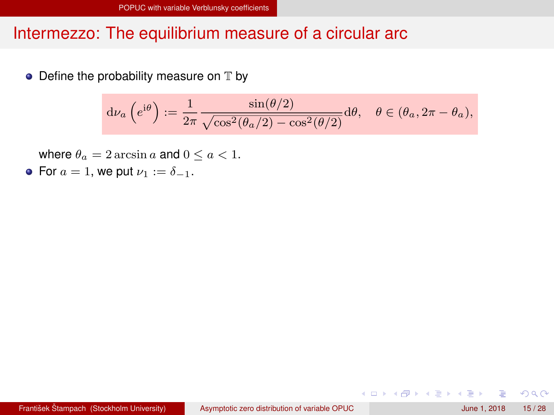<span id="page-49-0"></span> $\bullet$  Define the probability measure on  $\mathbb T$  by

$$
\mathrm{d}\nu_a\left(e^{\mathrm{i}\theta}\right):=\frac{1}{2\pi}\frac{\sin(\theta/2)}{\sqrt{\cos^2(\theta_a/2)-\cos^2(\theta/2)}}\mathrm{d}\theta,\quad\theta\in(\theta_a,2\pi-\theta_a),
$$

where 
$$
\theta_a = 2 \arcsin a
$$
 and  $0 \le a < 1$ .  
\n• For  $a = 1$ , we put  $\nu_1 := \delta_{-1}$ .

 $2Q$ 

メロトメ 伊 トメ ミトメ ミト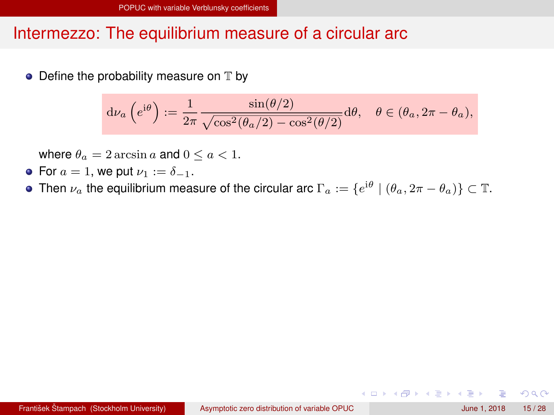<span id="page-50-0"></span> $\bullet$  Define the probability measure on  $\mathbb T$  by

$$
\mathrm{d}\nu_a\left(e^{\mathrm{i}\theta}\right):=\frac{1}{2\pi}\frac{\sin(\theta/2)}{\sqrt{\cos^2(\theta_a/2)-\cos^2(\theta/2)}}\mathrm{d}\theta,\quad\theta\in(\theta_a,2\pi-\theta_a),
$$

where  $\theta_a = 2 \arcsin a$  and  $0 \le a < 1$ .

- For  $a = 1$ , we put  $\nu_1 := \delta_{-1}$ .
- Then  $\nu_a$  the equilibrium measure of the circular arc  $\Gamma_a:=\{e^{{\rm i}\theta}\mid (\theta_a,2\pi-\theta_a)\}\subset \mathbb{T}.$

 $\Omega$ 

イロン イ団ン イヨン イヨン 一番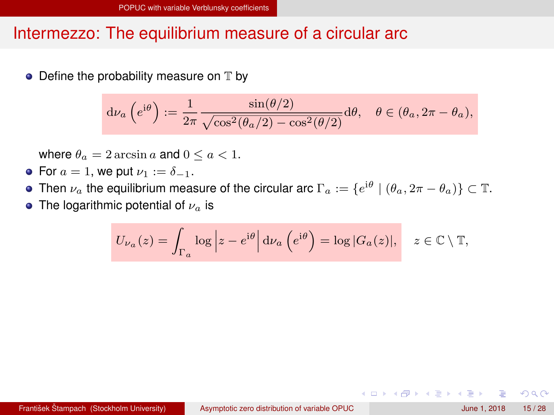<span id="page-51-0"></span> $\bullet$  Define the probability measure on  $\mathbb T$  by

$$
\mathrm{d}\nu_a\left(e^{\mathrm{i}\theta}\right):=\frac{1}{2\pi}\frac{\sin(\theta/2)}{\sqrt{\cos^2(\theta_a/2)-\cos^2(\theta/2)}}\mathrm{d}\theta,\quad\theta\in(\theta_a,2\pi-\theta_a),
$$

where  $\theta_a = 2 \arcsin a$  and  $0 \le a < 1$ .

- For  $a = 1$ , we put  $\nu_1 := \delta_{-1}$ .
- Then  $\nu_a$  the equilibrium measure of the circular arc  $\Gamma_a:=\{e^{{\rm i}\theta}\mid (\theta_a,2\pi-\theta_a)\}\subset \mathbb{T}.$
- The logarithmic potential of  $\nu_a$  is

$$
U_{\nu_a}(z) = \int_{\Gamma_a} \log \left| z - e^{i\theta} \right| d\nu_a \left( e^{i\theta} \right) = \log |G_a(z)|, \quad z \in \mathbb{C} \setminus \mathbb{T},
$$

 $\eta$ an

◆ロ→ ◆御→ ◆唐→ ◆唐→ →唐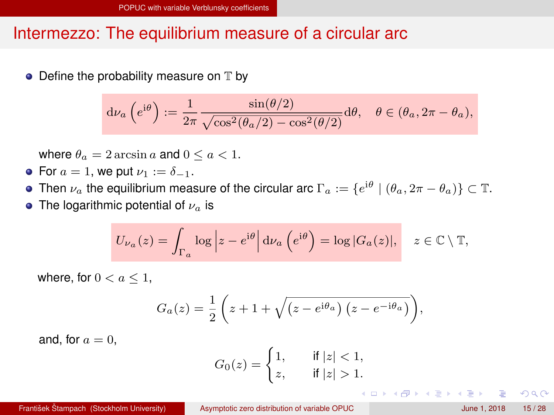<span id="page-52-0"></span> $\bullet$  Define the probability measure on  $\mathbb T$  by

$$
\mathrm{d}\nu_a\left(e^{\mathrm{i}\theta}\right) := \frac{1}{2\pi} \frac{\sin(\theta/2)}{\sqrt{\cos^2(\theta_a/2) - \cos^2(\theta/2)}} \mathrm{d}\theta, \quad \theta \in (\theta_a, 2\pi - \theta_a),
$$

where  $\theta_a = 2 \arcsin a$  and  $0 \le a < 1$ .

- For  $a = 1$ , we put  $\nu_1 := \delta_{-1}$ .
- Then  $\nu_a$  the equilibrium measure of the circular arc  $\Gamma_a:=\{e^{{\rm i}\theta}\mid (\theta_a,2\pi-\theta_a)\}\subset \mathbb{T}.$
- The logarithmic potential of  $\nu_a$  is

$$
U_{\nu_a}(z) = \int_{\Gamma_a} \log \left| z - e^{i\theta} \right| d\nu_a \left( e^{i\theta} \right) = \log |G_a(z)|, \quad z \in \mathbb{C} \setminus \mathbb{T},
$$

where, for  $0 < a \leq 1$ ,

$$
G_a(z) = \frac{1}{2} \left( z + 1 + \sqrt{\left(z - e^{i\theta_a}\right) \left(z - e^{-i\theta_a}\right)} \right),
$$

and, for  $a = 0$ ,

$$
G_0(z) = \begin{cases} 1, & \text{if } |z| < 1, \\ z, & \text{if } |z| > 1. \end{cases}
$$

 $\Omega$ 

イロト イ母 トイヨ トイヨ トーヨー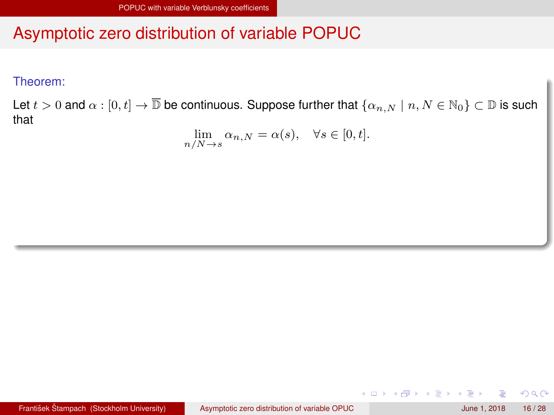<span id="page-53-0"></span>Theorem:

Let  $t > 0$  and  $\alpha : [0, t] \to \overline{D}$  be continuous. Suppose further that  $\{\alpha_{n,N} | n, N \in \mathbb{N}_0\} \subset \mathbb{D}$  is such that

$$
\lim_{n/N \to s} \alpha_{n,N} = \alpha(s), \quad \forall s \in [0, t].
$$

 $QQ$ 

 $(1,1)$   $(1,1)$   $(1,1)$   $(1,1)$   $(1,1)$   $(1,1)$   $(1,1)$   $(1,1)$   $(1,1)$   $(1,1)$   $(1,1)$   $(1,1)$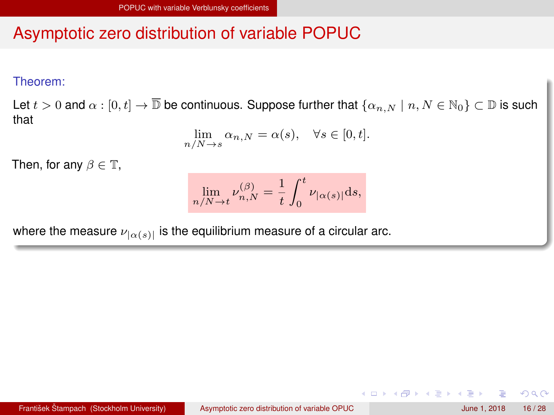<span id="page-54-0"></span>Theorem:

Let  $t > 0$  and  $\alpha : [0, t] \to \overline{\mathbb{D}}$  be continuous. Suppose further that  $\{\alpha_{n,N} \mid n, N \in \mathbb{N}_0\} \subset \mathbb{D}$  is such that

$$
\lim_{n/N \to s} \alpha_{n,N} = \alpha(s), \quad \forall s \in [0, t].
$$

Then, for any  $\beta \in \mathbb{T}$ ,

$$
\lim_{n/N \to t} \nu_{n,N}^{(\beta)} = \frac{1}{t} \int_0^t \nu_{|\alpha(s)|} ds,
$$

where the measure  $\nu_{|\alpha(s)|}$  is the equilibrium measure of a circular arc.

 $(1,1)$   $(1,1)$   $(1,1)$   $(1,1)$   $(1,1)$   $(1,1)$   $(1,1)$   $(1,1)$   $(1,1)$   $(1,1)$   $(1,1)$   $(1,1)$ 

 $\Omega$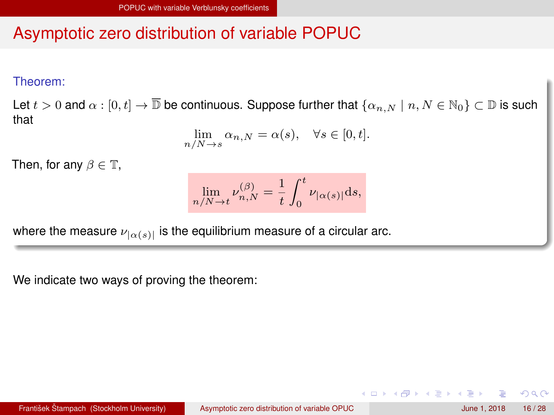<span id="page-55-0"></span>Theorem:

Let  $t > 0$  and  $\alpha : [0, t] \to \overline{\mathbb{D}}$  be continuous. Suppose further that  $\{\alpha_{n,N} \mid n, N \in \mathbb{N}_0\} \subset \mathbb{D}$  is such that

$$
\lim_{n/N \to s} \alpha_{n,N} = \alpha(s), \quad \forall s \in [0, t].
$$

Then, for any  $\beta \in \mathbb{T}$ ,

$$
\lim_{n/N \to t} \nu_{n,N}^{(\beta)} = \frac{1}{t} \int_0^t \nu_{|\alpha(s)|} ds,
$$

where the measure  $\nu_{|\alpha(s)|}$  is the equilibrium measure of a circular arc.

We indicate two ways of proving the theorem:

 $(1,1)$   $(1,1)$   $(1,1)$   $(1,1)$   $(1,1)$   $(1,1)$   $(1,1)$   $(1,1)$   $(1,1)$   $(1,1)$   $(1,1)$   $(1,1)$ 

 $\Omega$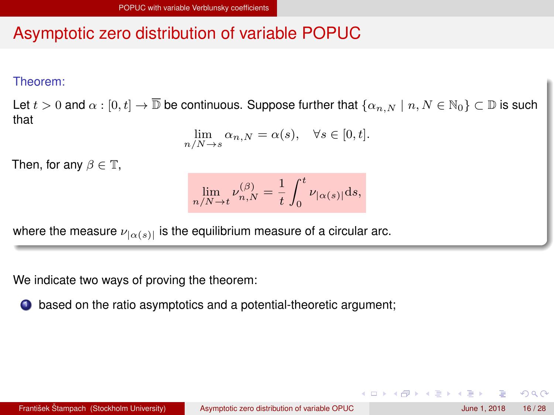<span id="page-56-0"></span>Theorem:

Let  $t > 0$  and  $\alpha : [0, t] \to \overline{\mathbb{D}}$  be continuous. Suppose further that  $\{\alpha_{n,N} \mid n, N \in \mathbb{N}_0\} \subset \mathbb{D}$  is such that

$$
\lim_{n/N \to s} \alpha_{n,N} = \alpha(s), \quad \forall s \in [0, t].
$$

Then, for any  $\beta \in \mathbb{T}$ ,

$$
\lim_{n/N \to t} \nu_{n,N}^{(\beta)} = \frac{1}{t} \int_0^t \nu_{|\alpha(s)|} ds,
$$

where the measure  $\nu_{|\alpha(s)|}$  is the equilibrium measure of a circular arc.

We indicate two ways of proving the theorem:



 $\eta$ an

 $(1,1)$   $(1,1)$   $(1,1)$   $(1,1)$   $(1,1)$   $(1,1)$   $(1,1)$   $(1,1)$   $(1,1)$   $(1,1)$   $(1,1)$   $(1,1)$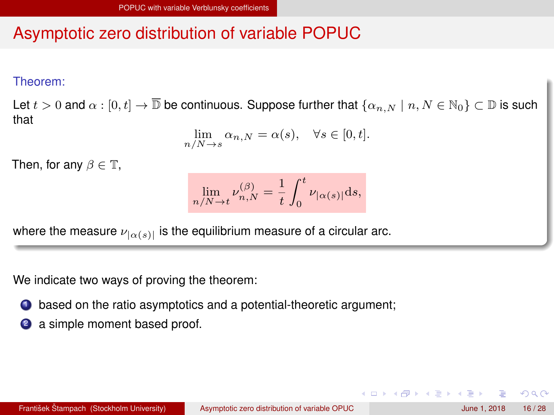<span id="page-57-0"></span>Theorem:

Let  $t > 0$  and  $\alpha : [0, t] \to \overline{\mathbb{D}}$  be continuous. Suppose further that  $\{\alpha_{n,N} \mid n, N \in \mathbb{N}_0\} \subset \mathbb{D}$  is such that

$$
\lim_{n/N \to s} \alpha_{n,N} = \alpha(s), \quad \forall s \in [0, t].
$$

Then, for any  $\beta \in \mathbb{T}$ ,

$$
\lim_{n/N \to t} \nu_{n,N}^{(\beta)} = \frac{1}{t} \int_0^t \nu_{|\alpha(s)|} ds,
$$

where the measure  $\nu_{|\alpha(s)|}$  is the equilibrium measure of a circular arc.

We indicate two ways of proving the theorem:

- $\bullet$  based on the ratio asymptotics and a potential-theoretic argument;
- **2** a simple moment based proof.

 $\Omega$ 

 $(1,1)$   $(1,1)$   $(1,1)$   $(1,1)$   $(1,1)$   $(1,1)$   $(1,1)$   $(1,1)$   $(1,1)$   $(1,1)$   $(1,1)$   $(1,1)$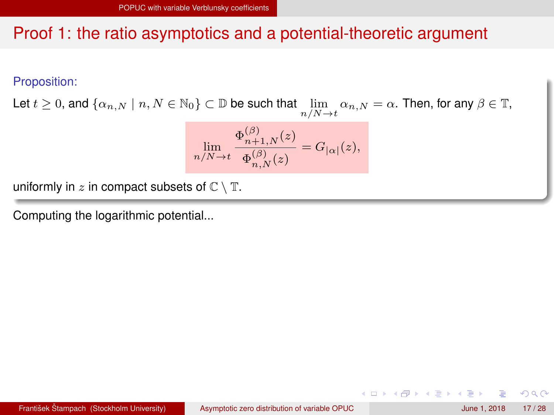#### <span id="page-58-0"></span>Proposition:

Let  $t\geq 0$ , and  $\{\alpha_{n,N}\mid n,N\in\mathbb{N}_0\}\subset\mathbb{D}$  be such that  $\lim\limits_{n/N\to t}\alpha_{n,N}=\alpha.$  Then, for any  $\beta\in\mathbb{T},$ 

$$
\lim_{n/N \to t} \frac{\Phi_{n+1,N}^{(\beta)}(z)}{\Phi_{n,N}^{(\beta)}(z)} = G_{|\alpha|}(z),
$$

uniformly in z in compact subsets of  $\mathbb{C} \setminus \mathbb{T}$ .

Computing the logarithmic potential...

化重新化重新

 $QQ$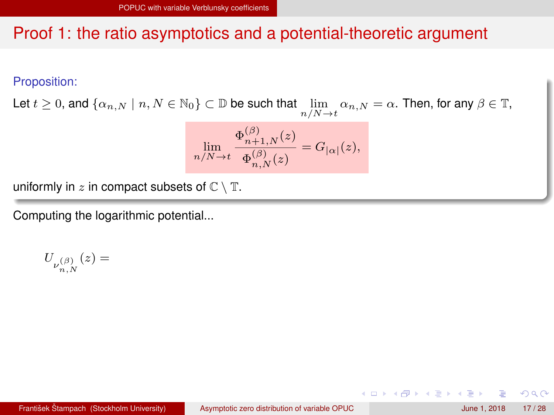#### <span id="page-59-0"></span>Proposition:

Let  $t\geq 0$ , and  $\{\alpha_{n,N}\mid n,N\in\mathbb{N}_0\}\subset\mathbb{D}$  be such that  $\lim\limits_{n/N\to t}\alpha_{n,N}=\alpha.$  Then, for any  $\beta\in\mathbb{T},$ 

$$
\lim_{n/N \to t} \frac{\Phi_{n+1,N}^{(\beta)}(z)}{\Phi_{n,N}^{(\beta)}(z)} = G_{|\alpha|}(z),
$$

uniformly in z in compact subsets of  $\mathbb{C} \setminus \mathbb{T}$ .

Computing the logarithmic potential...

 $U_{\nu_{n,N}^{(\beta)}}(z)=$ 

イロト イ母 トイラト イラト

 $QQ$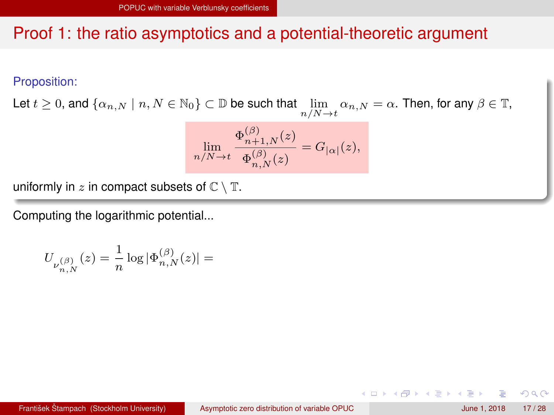#### <span id="page-60-0"></span>Proposition:

Let  $t\geq 0$ , and  $\{\alpha_{n,N}\mid n,N\in\mathbb{N}_0\}\subset\mathbb{D}$  be such that  $\lim\limits_{n/N\to t}\alpha_{n,N}=\alpha.$  Then, for any  $\beta\in\mathbb{T},$ 

$$
\lim_{n/N \to t} \frac{\Phi_{n+1,N}^{(\beta)}(z)}{\Phi_{n,N}^{(\beta)}(z)} = G_{|\alpha|}(z),
$$

uniformly in z in compact subsets of  $\mathbb{C} \setminus \mathbb{T}$ .

Computing the logarithmic potential...

$$
U_{\nu_{n,N}^{(\beta)}}(z)=\frac{1}{n}\log|\Phi_{n,N}^{(\beta)}(z)|=
$$

 $QQ$ 

イロト イ母 トイラト イラト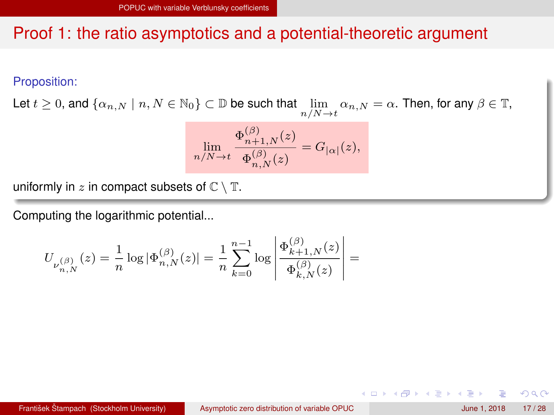#### <span id="page-61-0"></span>Proposition:

Let  $t\geq 0$ , and  $\{\alpha_{n,N}\mid n,N\in\mathbb{N}_0\}\subset\mathbb{D}$  be such that  $\lim\limits_{n/N\to t}\alpha_{n,N}=\alpha.$  Then, for any  $\beta\in\mathbb{T},$ 

$$
\lim_{n/N \to t} \frac{\Phi_{n+1,N}^{(\beta)}(z)}{\Phi_{n,N}^{(\beta)}(z)} = G_{|\alpha|}(z),
$$

uniformly in z in compact subsets of  $\mathbb{C} \setminus \mathbb{T}$ .

Computing the logarithmic potential...

$$
U_{\nu_{n,N}^{(\beta)}}(z) = \frac{1}{n} \log |\Phi_{n,N}^{(\beta)}(z)| = \frac{1}{n} \sum_{k=0}^{n-1} \log \left| \frac{\Phi_{k+1,N}^{(\beta)}(z)}{\Phi_{k,N}^{(\beta)}(z)} \right| =
$$

 $QQ$ 

イロト イ母 トイラト イラト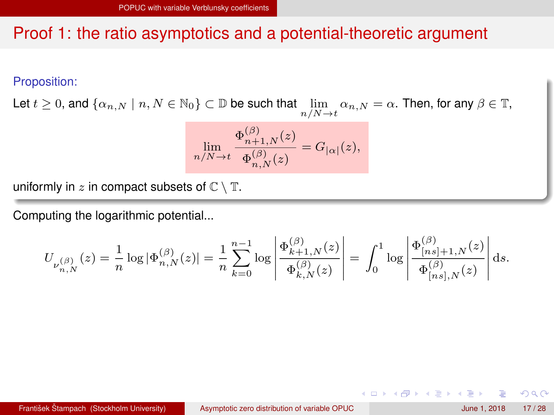#### <span id="page-62-0"></span>Proposition:

Let  $t\geq 0$ , and  $\{\alpha_{n,N}\mid n,N\in\mathbb{N}_0\}\subset\mathbb{D}$  be such that  $\lim\limits_{n/N\to t}\alpha_{n,N}=\alpha.$  Then, for any  $\beta\in\mathbb{T},$ 

$$
\lim_{n/N \to t} \frac{\Phi_{n+1,N}^{(\beta)}(z)}{\Phi_{n,N}^{(\beta)}(z)} = G_{|\alpha|}(z),
$$

uniformly in z in compact subsets of  $\mathbb{C} \setminus \mathbb{T}$ .

Computing the logarithmic potential...

$$
U_{\nu_{n,N}^{(\beta)}}(z)=\frac{1}{n}\log|\Phi_{n,N}^{(\beta)}(z)|=\frac{1}{n}\sum_{k=0}^{n-1}\log\left|\frac{\Phi_{k+1,N}^{(\beta)}(z)}{\Phi_{k,N}^{(\beta)}(z)}\right|=\left.\int_0^1\log\left|\frac{\Phi_{[ns]+1,N}^{(\beta)}(z)}{\Phi_{[ns],N}^{(\beta)}(z)}\right|\mathrm{d} s.
$$

ik Bisk Bis

 $QQ$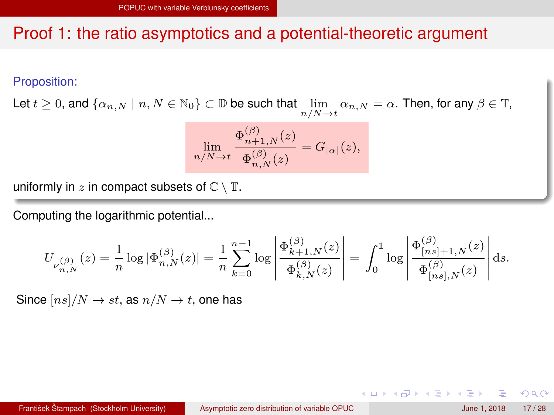#### <span id="page-63-0"></span>Proposition:

Let  $t\geq 0$ , and  $\{\alpha_{n,N}\mid n,N\in\mathbb{N}_0\}\subset\mathbb{D}$  be such that  $\lim\limits_{n/N\to t}\alpha_{n,N}=\alpha.$  Then, for any  $\beta\in\mathbb{T},$ 

$$
\lim_{n/N \to t} \frac{\Phi_{n+1,N}^{(\beta)}(z)}{\Phi_{n,N}^{(\beta)}(z)} = G_{|\alpha|}(z),
$$

uniformly in z in compact subsets of  $\mathbb{C} \setminus \mathbb{T}$ .

Computing the logarithmic potential...

$$
U_{\nu_{n,N}^{(\beta)}}(z) = \frac{1}{n} \log |\Phi_{n,N}^{(\beta)}(z)| = \frac{1}{n} \sum_{k=0}^{n-1} \log \left| \frac{\Phi_{k+1,N}^{(\beta)}(z)}{\Phi_{k,N}^{(\beta)}(z)} \right| = \int_0^1 \log \left| \frac{\Phi_{[ns]+1,N}^{(\beta)}(z)}{\Phi_{[ns],N}^{(\beta)}(z)} \right| ds.
$$

Since  $[ns]/N \rightarrow st$ , as  $n/N \rightarrow t$ , one has

 $QQQ$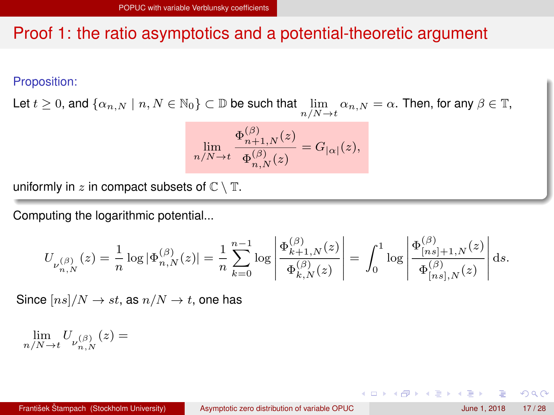#### <span id="page-64-0"></span>Proposition:

Let  $t\geq 0$ , and  $\{\alpha_{n,N}\mid n,N\in\mathbb{N}_0\}\subset\mathbb{D}$  be such that  $\lim\limits_{n/N\to t}\alpha_{n,N}=\alpha.$  Then, for any  $\beta\in\mathbb{T},$ 

$$
\lim_{n/N \to t} \frac{\Phi_{n+1,N}^{(\beta)}(z)}{\Phi_{n,N}^{(\beta)}(z)} = G_{|\alpha|}(z),
$$

uniformly in z in compact subsets of  $\mathbb{C} \setminus \mathbb{T}$ .

Computing the logarithmic potential...

$$
U_{\nu_{n,N}^{(\beta)}}(z) = \frac{1}{n} \log |\Phi_{n,N}^{(\beta)}(z)| = \frac{1}{n} \sum_{k=0}^{n-1} \log \left| \frac{\Phi_{k+1,N}^{(\beta)}(z)}{\Phi_{k,N}^{(\beta)}(z)} \right| = \int_0^1 \log \left| \frac{\Phi_{[ns]+1,N}^{(\beta)}(z)}{\Phi_{[ns],N}^{(\beta)}(z)} \right| ds.
$$

Since  $[ns]/N \rightarrow st$ , as  $n/N \rightarrow t$ , one has

 $\lim_{n/N\to t}U_{\nu_{n,N}^{(\beta)}}(z)=$ 

 $\eta$ an

イロト イ母 トイヨ トイヨ トーヨー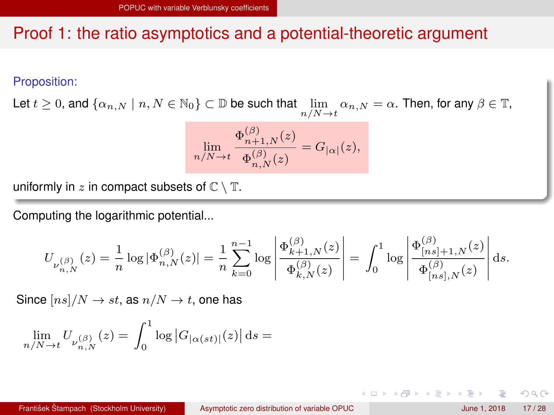#### <span id="page-65-0"></span>Proposition:

Let  $t\geq 0$ , and  $\{\alpha_{n,N}\mid n,N\in\mathbb{N}_0\}\subset\mathbb{D}$  be such that  $\lim\limits_{n/N\to t}\alpha_{n,N}=\alpha.$  Then, for any  $\beta\in\mathbb{T},$ 

$$
\lim_{n/N \to t} \frac{\Phi_{n+1,N}^{(\beta)}(z)}{\Phi_{n,N}^{(\beta)}(z)} = G_{|\alpha|}(z),
$$

uniformly in z in compact subsets of  $\mathbb{C} \setminus \mathbb{T}$ .

Computing the logarithmic potential...

$$
U_{\nu_{n,N}^{(\beta)}}(z)=\frac{1}{n}\log|\Phi_{n,N}^{(\beta)}(z)|=\frac{1}{n}\sum_{k=0}^{n-1}\log\left|\frac{\Phi_{k+1,N}^{(\beta)}(z)}{\Phi_{k,N}^{(\beta)}(z)}\right|=\left.\int_0^1\log\left|\frac{\Phi_{[ns]+1,N}^{(\beta)}(z)}{\Phi_{[ns],N}^{(\beta)}(z)}\right|\mathrm{d} s.
$$

Since  $[ns]/N \rightarrow st$ , as  $n/N \rightarrow t$ , one has

$$
\lim_{n/N\to t^-}\!\!U_{\nu_{n,N}^{(\beta)}}(z)=\,\int_0^1\log\left|G_{|\alpha(st)|}(z)\right|\mathrm{d}s=
$$

 $QQQ$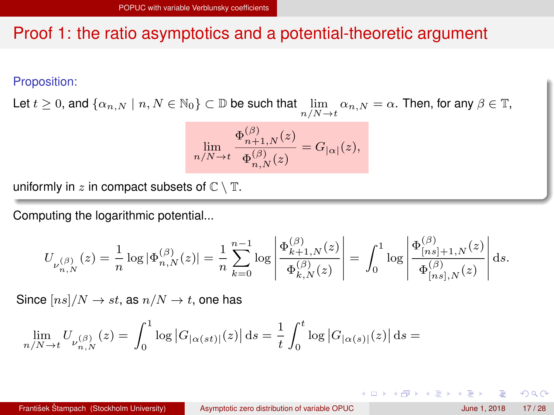#### <span id="page-66-0"></span>Proposition:

Let  $t\geq 0$ , and  $\{\alpha_{n,N}\mid n,N\in\mathbb{N}_0\}\subset\mathbb{D}$  be such that  $\lim\limits_{n/N\to t}\alpha_{n,N}=\alpha.$  Then, for any  $\beta\in\mathbb{T},$ 

$$
\lim_{n/N \to t} \frac{\Phi_{n+1,N}^{(\beta)}(z)}{\Phi_{n,N}^{(\beta)}(z)} = G_{|\alpha|}(z),
$$

uniformly in z in compact subsets of  $\mathbb{C} \setminus \mathbb{T}$ .

Computing the logarithmic potential...

$$
U_{\nu_{n,N}^{(\beta)}}(z)=\frac{1}{n}\log|\Phi_{n,N}^{(\beta)}(z)|=\frac{1}{n}\sum_{k=0}^{n-1}\log\left|\frac{\Phi_{k+1,N}^{(\beta)}(z)}{\Phi_{k,N}^{(\beta)}(z)}\right|=\left.\int_0^1\log\left|\frac{\Phi_{[ns]+1,N}^{(\beta)}(z)}{\Phi_{[ns],N}^{(\beta)}(z)}\right|\mathrm{d} s.
$$

Since  $[ns]/N \rightarrow st$ , as  $n/N \rightarrow t$ , one has

$$
\lim_{n/N\rightarrow t}\tU_{\nu_{n,N}^{(\beta)}}(z)=\,\int_0^1\log \left|G_{|\alpha(st)|}(z)\right|\mathrm{d} s=\frac{1}{t}\int_0^t\log \left|G_{|\alpha(s)|}(z)\right|\mathrm{d} s=
$$

 $QQQ$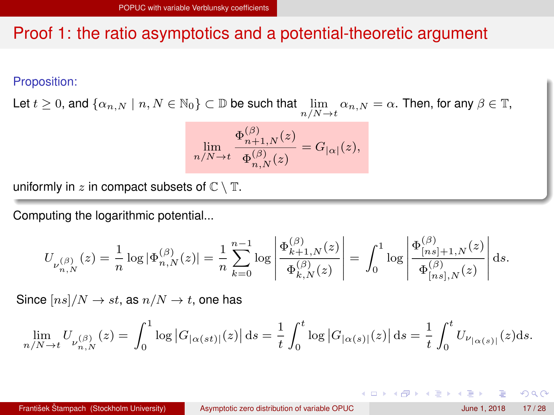#### <span id="page-67-0"></span>Proposition:

Let  $t\geq 0$ , and  $\{\alpha_{n,N}\mid n,N\in\mathbb{N}_0\}\subset\mathbb{D}$  be such that  $\lim\limits_{n/N\to t}\alpha_{n,N}=\alpha.$  Then, for any  $\beta\in\mathbb{T},$ 

$$
\lim_{n/N \to t} \frac{\Phi_{n+1,N}^{(\beta)}(z)}{\Phi_{n,N}^{(\beta)}(z)} = G_{|\alpha|}(z),
$$

uniformly in z in compact subsets of  $\mathbb{C} \setminus \mathbb{T}$ .

Computing the logarithmic potential...

$$
U_{\nu_{n,N}^{(\beta)}}(z) = \frac{1}{n} \log |\Phi_{n,N}^{(\beta)}(z)| = \frac{1}{n} \sum_{k=0}^{n-1} \log \left| \frac{\Phi_{k+1,N}^{(\beta)}(z)}{\Phi_{k,N}^{(\beta)}(z)} \right| = \int_0^1 \log \left| \frac{\Phi_{[ns]+1,N}^{(\beta)}(z)}{\Phi_{[ns],N}^{(\beta)}(z)} \right| ds.
$$

Since  $[ns]/N \rightarrow st$ , as  $n/N \rightarrow t$ , one has

$$
\lim_{n/N \to t} U_{\nu_{n,N}^{(\beta)}}(z) = \int_0^1 \log \left|G_{|\alpha(st)|}(z)\right| {\rm d} s = \frac{1}{t} \int_0^t \log \left|G_{|\alpha(s)|}(z)\right| {\rm d} s = \frac{1}{t} \int_0^t U_{\nu_{|\alpha(s)|}}(z) {\rm d} s.
$$

 $QQQ$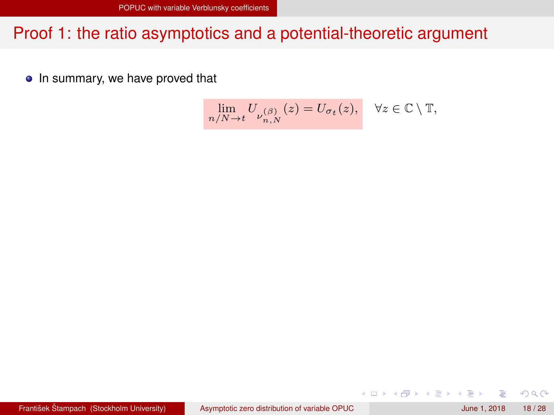<span id="page-68-0"></span>• In summary, we have proved that

$$
\lim_{n/N\to t}U_{\nu_{n,N}^{(\beta)}}(z)=U_{\sigma_t}(z),\quad\forall z\in\mathbb{C}\setminus\mathbb{T},
$$

**K ロ ト K 何 ト** 

一本 三一郎

 $2Q$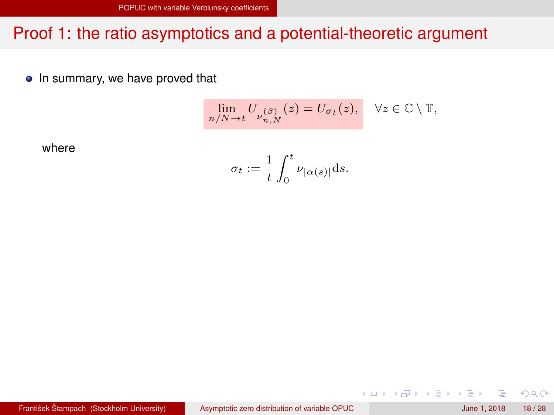<span id="page-69-0"></span>• In summary, we have proved that

$$
\lim_{n/N \to t} U_{\nu_{n,N}^{(\beta)}}(z) = U_{\sigma_t}(z), \quad \forall z \in \mathbb{C} \setminus \mathbb{T},
$$

where

$$
\sigma_t := \frac{1}{t} \int_0^t \nu_{|\alpha(s)|} ds.
$$

 $2Q$ 

 $\leftarrow$ 

**K ロ ト K 伺 ト K ヨ ト**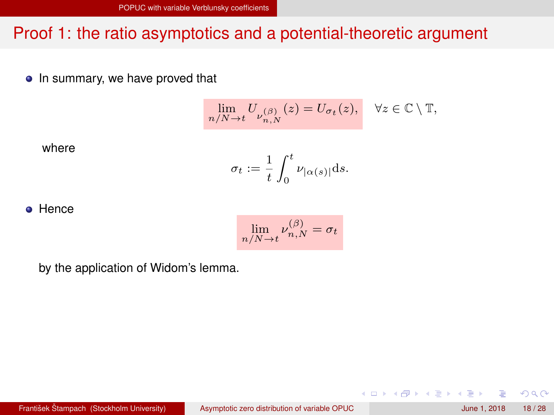<span id="page-70-0"></span>• In summary, we have proved that

$$
\lim_{n/N \to t} U_{\nu_{n,N}^{(\beta)}}(z) = U_{\sigma_t}(z), \quad \forall z \in \mathbb{C} \setminus \mathbb{T},
$$

where

$$
\sigma_t := \frac{1}{t} \int_0^t \nu_{|\alpha(s)|} ds.
$$

• Hence

$$
\lim_{n/N \to t} \nu_{n,N}^{(\beta)} = \sigma_t
$$

by the application of Widom's lemma.

 $QQ$ 

イロト イ母 トイラト イラト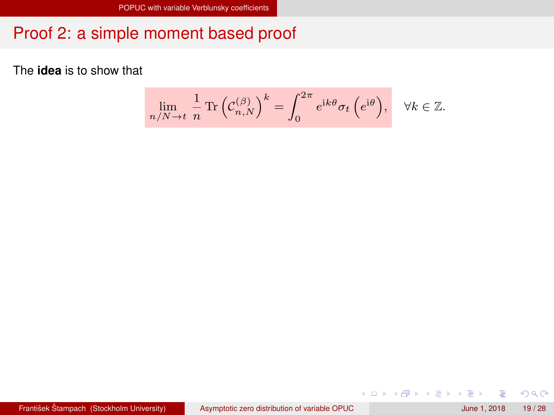# <span id="page-71-0"></span>Proof 2: a simple moment based proof

The **idea** is to show that

$$
\lim_{n/N \to t} \frac{1}{n} \text{Tr} \left( \mathcal{C}_{n,N}^{(\beta)} \right)^k = \int_0^{2\pi} e^{ik\theta} \sigma_t \left( e^{i\theta} \right), \quad \forall k \in \mathbb{Z}.
$$

 $2Q$ 

メロトメ 伊 トメ ミトメ ミト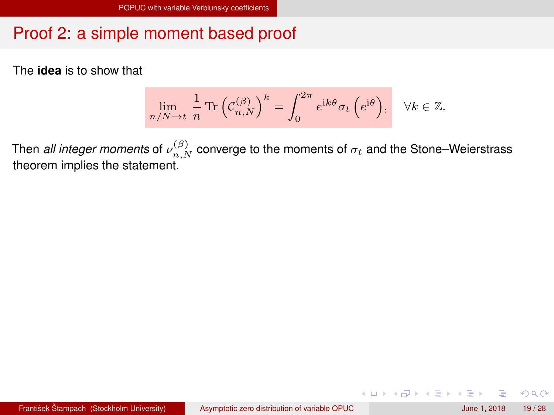<span id="page-72-0"></span>The **idea** is to show that

$$
\lim_{n/N \to t} \frac{1}{n} \operatorname{Tr} \left( \mathcal{C}_{n,N}^{(\beta)} \right)^k = \int_0^{2\pi} e^{ik\theta} \sigma_t \left( e^{i\theta} \right), \quad \forall k \in \mathbb{Z}.
$$

Then *all integer moments* of  $\nu_{n,N}^{(\beta)}$  converge to the moments of  $\sigma_t$  and the Stone–Weierstrass theorem implies the statement.

 $QQ$ 

 $\rightarrow$   $\Rightarrow$   $\rightarrow$   $\Rightarrow$   $\rightarrow$ 

**K ロ ト K 何 ト**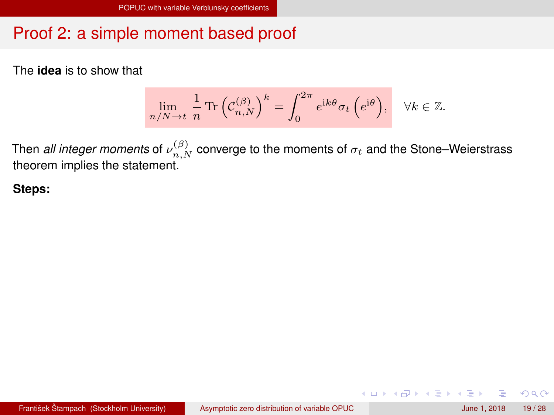<span id="page-73-0"></span>The **idea** is to show that

$$
\lim_{n/N \to t} \frac{1}{n} \operatorname{Tr} \left( \mathcal{C}_{n,N}^{(\beta)} \right)^k = \int_0^{2\pi} e^{ik\theta} \sigma_t \left( e^{i\theta} \right), \quad \forall k \in \mathbb{Z}.
$$

Then *all integer moments* of  $\nu_{n,N}^{(\beta)}$  converge to the moments of  $\sigma_t$  and the Stone–Weierstrass theorem implies the statement.

**Steps:**

 $QQ$ 

 $\rightarrow$   $\Rightarrow$   $\rightarrow$   $\Rightarrow$   $\rightarrow$ 

**K ロ ト K 何 ト**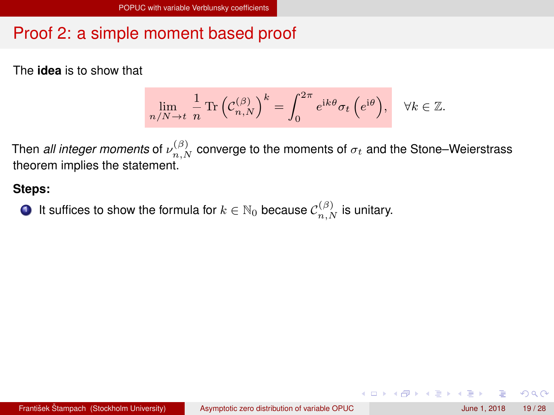<span id="page-74-0"></span>The **idea** is to show that

$$
\lim_{n/N \to t} \frac{1}{n} \operatorname{Tr} \left( \mathcal{C}_{n,N}^{(\beta)} \right)^k = \int_0^{2\pi} e^{ik\theta} \sigma_t \left( e^{i\theta} \right), \quad \forall k \in \mathbb{Z}.
$$

Then *all integer moments* of  $\nu_{n,N}^{(\beta)}$  converge to the moments of  $\sigma_t$  and the Stone–Weierstrass theorem implies the statement.

#### **Steps:**

 $\textbf{D}\;$  It suffices to show the formula for  $k\in\mathbb{N}_0$  because  $\mathcal{C}_{n,N}^{(\beta)}$  is unitary.

イロト イ母 トイラト イラト

 $QQQ$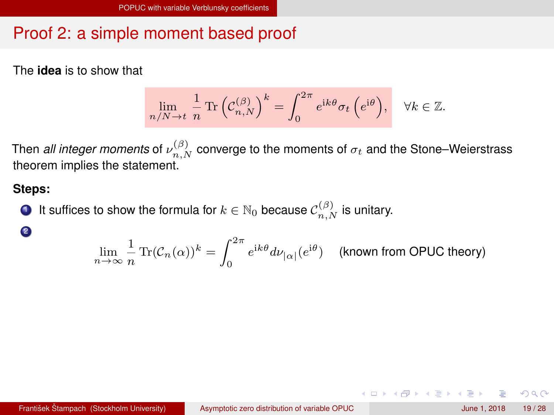<span id="page-75-0"></span>The **idea** is to show that

$$
\lim_{n/N \to t} \frac{1}{n} \operatorname{Tr} \left( \mathcal{C}_{n,N}^{(\beta)} \right)^k = \int_0^{2\pi} e^{ik\theta} \sigma_t \left( e^{i\theta} \right), \quad \forall k \in \mathbb{Z}.
$$

Then *all integer moments* of  $\nu_{n,N}^{(\beta)}$  converge to the moments of  $\sigma_t$  and the Stone–Weierstrass theorem implies the statement.

#### **Steps:**

 $\textbf{D}\;$  It suffices to show the formula for  $k\in\mathbb{N}_0$  because  $\mathcal{C}_{n,N}^{(\beta)}$  is unitary.

#### 2

$$
\lim_{n \to \infty} \frac{1}{n} \operatorname{Tr}(\mathcal{C}_n(\alpha))^k = \int_0^{2\pi} e^{\mathrm{i}k\theta} d\nu_{|\alpha|}(e^{\mathrm{i}\theta}) \quad \text{(known from OPUC theory)}
$$

 $QQQ$ 

イロト イ母 トイラト イラト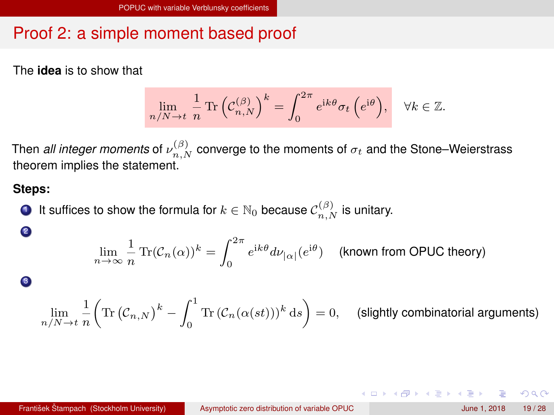<span id="page-76-0"></span>The **idea** is to show that

$$
\lim_{n/N \to t} \frac{1}{n} \operatorname{Tr} \left( \mathcal{C}_{n,N}^{(\beta)} \right)^k = \int_0^{2\pi} e^{ik\theta} \sigma_t \left( e^{i\theta} \right), \quad \forall k \in \mathbb{Z}.
$$

Then *all integer moments* of  $\nu_{n,N}^{(\beta)}$  converge to the moments of  $\sigma_t$  and the Stone–Weierstrass theorem implies the statement.

#### **Steps:**

2

3

 $\textbf{D}\;$  It suffices to show the formula for  $k\in\mathbb{N}_0$  because  $\mathcal{C}_{n,N}^{(\beta)}$  is unitary.

$$
\lim_{n\to\infty}\frac{1}{n}\operatorname{Tr}(\mathcal{C}_n(\alpha))^k=\int_0^{2\pi}e^{\mathrm{i}k\theta}d\nu_{|\alpha|}(e^{\mathrm{i}\theta})\quad\text{ (known from OPUC theory)}
$$

$$
\lim_{n/N \to t} \frac{1}{n} \bigg( \text{Tr} \left( \mathcal{C}_{n,N} \right)^k - \int_0^1 \text{Tr} \left( \mathcal{C}_n(\alpha(st)) \right)^k \, \text{d}s \bigg) = 0, \quad \text{ (slightly combinatorial arguments)}
$$

 $QQQ$ 

K ロ ⊁ K 倒 ≯ K 君 ⊁ K 君 ≯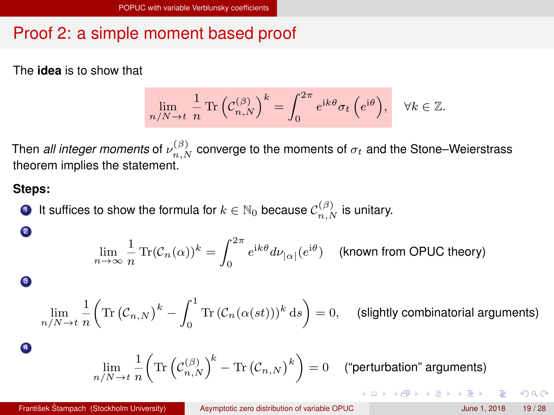<span id="page-77-0"></span>The **idea** is to show that

$$
\lim_{n/N \to t} \frac{1}{n} \operatorname{Tr} \left( \mathcal{C}_{n,N}^{(\beta)} \right)^k = \int_0^{2\pi} e^{ik\theta} \sigma_t \left( e^{i\theta} \right), \quad \forall k \in \mathbb{Z}.
$$

Then *all integer moments* of  $\nu_{n,N}^{(\beta)}$  converge to the moments of  $\sigma_t$  and the Stone–Weierstrass theorem implies the statement.

#### **Steps:**

2

3

4

 $\textbf{D}\;$  It suffices to show the formula for  $k\in\mathbb{N}_0$  because  $\mathcal{C}_{n,N}^{(\beta)}$  is unitary.

$$
\lim_{n \to \infty} \frac{1}{n} \operatorname{Tr}(\mathcal{C}_n(\alpha))^k = \int_0^{2\pi} e^{\mathrm{i}k\theta} d\nu_{|\alpha|}(e^{\mathrm{i}\theta}) \quad \text{(known from OPUC theory)}
$$

$$
\lim_{n/N \to t} \frac{1}{n} \bigg( \text{Tr} \left( \mathcal{C}_{n,N} \right)^k - \int_0^1 \text{Tr} \left( \mathcal{C}_n(\alpha(st)) \right)^k \, \mathrm{d}s \bigg) = 0, \quad \text{(slightly combinatorial arguments)}
$$

$$
\lim_{n/N \to t} \frac{1}{n} \bigg( \text{Tr} \left( \mathcal{C}_{n,N}^{(\beta)} \right)^k - \text{Tr} \left( \mathcal{C}_{n,N} \right)^k \bigg) = 0 \quad \text{ ("perturbation" arguments)}
$$

 $QQQ$ 

イロト イ母 トイラト イラト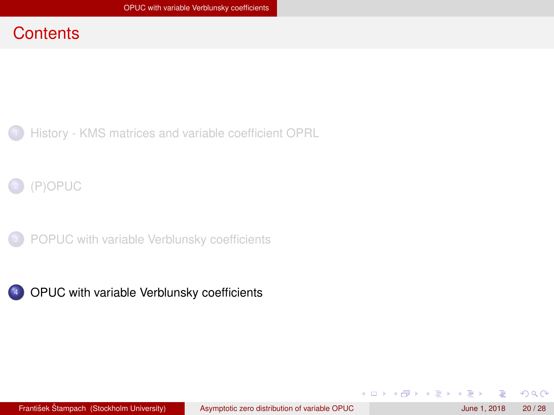#### <span id="page-78-0"></span>**Contents**

[History - KMS matrices and variable coefficient OPRL](#page-1-0)

#### <sup>2</sup> [\(P\)OPUC](#page-26-0)

<sup>3</sup> [POPUC with variable Verblunsky coefficients](#page-42-0)



 $2Q$ 

**K ロ ⊁ K 倒 ≯ K ミ ⊁ K ミ ⊁**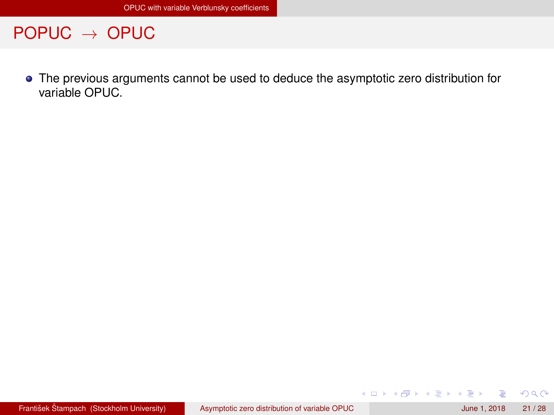#### <span id="page-79-0"></span> $POPUC \rightarrow OPUC$

The previous arguments cannot be used to deduce the asymptotic zero distribution for variable OPUC.

K ロ ▶ K @ ▶ K ミ ▶ K ミ ▶ - ' 큰' - K 9 Q @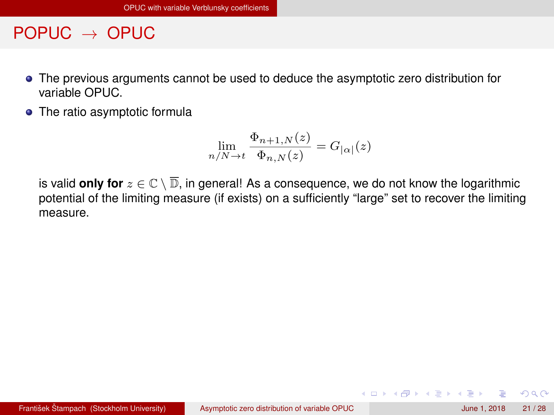#### <span id="page-80-0"></span> $POPUC \rightarrow OPUC$

- The previous arguments cannot be used to deduce the asymptotic zero distribution for variable OPUC.
- The ratio asymptotic formula

$$
\lim_{n/N \to t} \frac{\Phi_{n+1,N}(z)}{\Phi_{n,N}(z)} = G_{|\alpha|}(z)
$$

is valid **only for**  $z \in \mathbb{C} \setminus \overline{\mathbb{D}}$ , in general! As a consequence, we do not know the logarithmic potential of the limiting measure (if exists) on a sufficiently "large" set to recover the limiting measure.

イロメ イ団メ イモメ イモメー

 $\Omega$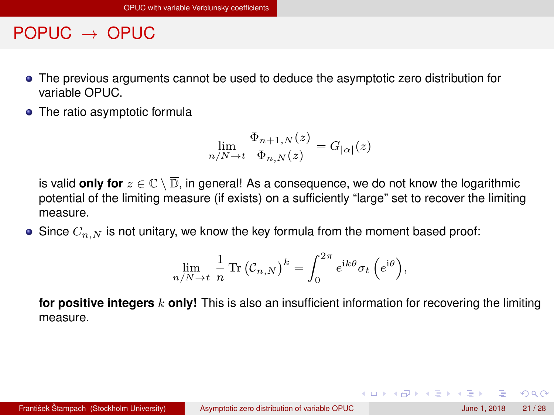### <span id="page-81-0"></span> $POPIC \rightarrow OPUC$

- The previous arguments cannot be used to deduce the asymptotic zero distribution for variable OPUC.
- The ratio asymptotic formula

$$
\lim_{n/N \to t} \frac{\Phi_{n+1,N}(z)}{\Phi_{n,N}(z)} = G_{|\alpha|}(z)
$$

is valid **only for**  $z \in \mathbb{C} \setminus \overline{\mathbb{D}}$ , in general! As a consequence, we do not know the logarithmic potential of the limiting measure (if exists) on a sufficiently "large" set to recover the limiting measure.

 $\bullet$  Since  $C_{n,N}$  is not unitary, we know the key formula from the moment based proof:

$$
\lim_{n/N \to t} \frac{1}{n} \operatorname{Tr} (C_{n,N})^k = \int_0^{2\pi} e^{ik\theta} \sigma_t \left(e^{i\theta}\right),
$$

**for positive integers** k **only!** This is also an insufficient information for recovering the limiting measure.

K ロ ▶ K @ ▶ K ミ ▶ K ミ ▶ - ' 큰' - K) Q Q @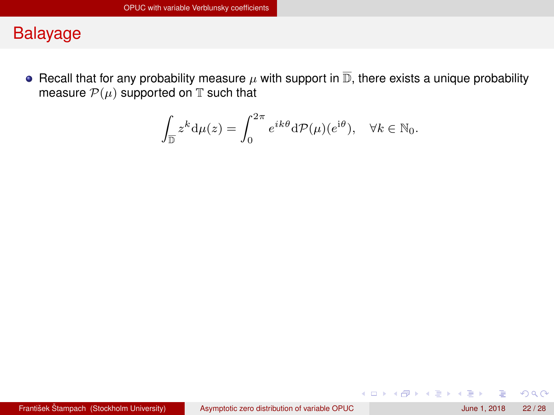# <span id="page-82-0"></span>Balayage

• Recall that for any probability measure  $\mu$  with support in  $\overline{\mathbb{D}}$ , there exists a unique probability measure  $\mathcal{P}(\mu)$  supported on  $\mathbb T$  such that

$$
\int_{\overline{\mathbb{D}}} z^k \, \mathrm{d}\mu(z) = \int_0^{2\pi} e^{ik\theta} \, \mathrm{d}\mathcal{P}(\mu)(e^{i\theta}), \quad \forall k \in \mathbb{N}_0.
$$

 $QQ$ 

**K ロ ⊁ K 倒 ≯ K ミ ⊁ K ミ ⊁**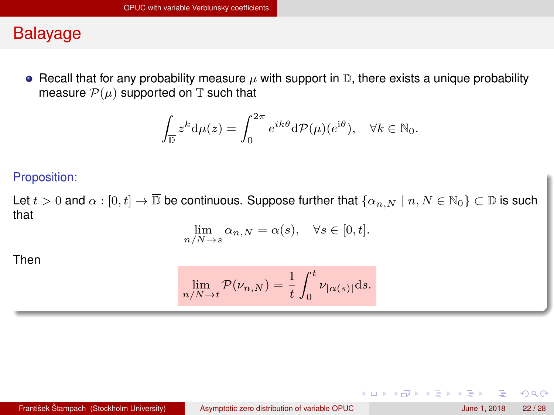# <span id="page-83-0"></span>Balayage

• Recall that for any probability measure  $\mu$  with support in  $\overline{\mathbb{D}}$ , there exists a unique probability measure  $\mathcal{P}(\mu)$  supported on  $\mathbb T$  such that

$$
\int_{\overline{\mathbb{D}}} z^k \mathrm{d}\mu(z) = \int_0^{2\pi} e^{ik\theta} \mathrm{d}\mathcal{P}(\mu)(e^{i\theta}), \quad \forall k \in \mathbb{N}_0.
$$

#### Proposition:

Let  $t > 0$  and  $\alpha : [0, t] \to \overline{D}$  be continuous. Suppose further that  $\{\alpha_{n,N} \mid n, N \in \mathbb{N}_0\} \subset \mathbb{D}$  is such that

$$
\lim_{n/N \to s} \alpha_{n,N} = \alpha(s), \quad \forall s \in [0, t].
$$

Then

$$
\lim_{n/N\to t}\mathcal{P}(\nu_{n,N})=\frac{1}{t}\int_0^t\nu_{|\alpha(s)|}\mathrm{d} s.
$$

 $(1,1)$   $(1,1)$   $(1,1)$   $(1,1)$   $(1,1)$   $(1,1)$   $(1,1)$   $(1,1)$   $(1,1)$   $(1,1)$   $(1,1)$   $(1,1)$ 

 $QQQ$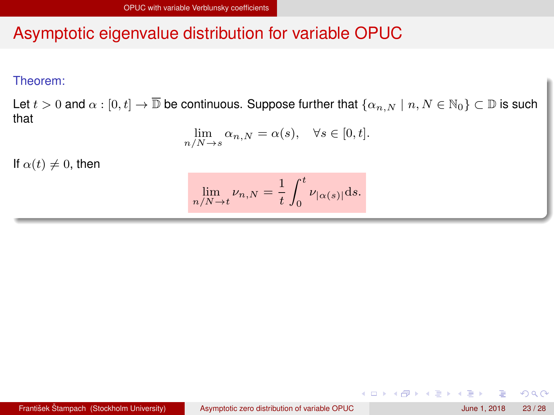<span id="page-84-0"></span>Theorem:

Let  $t > 0$  and  $\alpha : [0, t] \to \overline{D}$  be continuous. Suppose further that  $\{\alpha_{n,N} \mid n, N \in \mathbb{N}_0\} \subset \mathbb{D}$  is such that

$$
\lim_{n/N \to s} \alpha_{n,N} = \alpha(s), \quad \forall s \in [0, t].
$$

If  $\alpha(t) \neq 0$ , then

$$
\lim_{n/N\to t}\nu_{n,N}=\frac{1}{t}\int_0^t\nu_{|\alpha(s)|}{\rm d} s.
$$

 $QQQ$ 

イロト イ母 トイラト イラト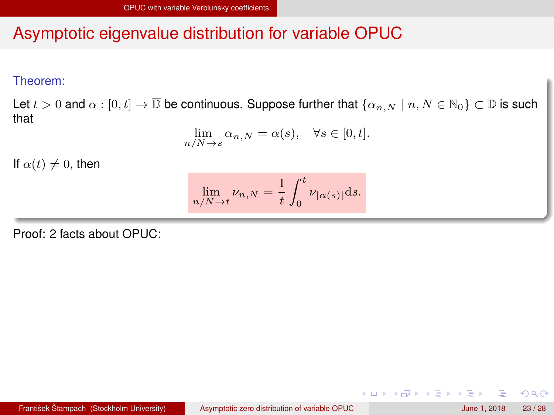<span id="page-85-0"></span>Theorem:

Let  $t > 0$  and  $\alpha : [0, t] \to \overline{\mathbb{D}}$  be continuous. Suppose further that  $\{\alpha_{n,N} \mid n, N \in \mathbb{N}_0\} \subset \mathbb{D}$  is such that

$$
\lim_{n/N \to s} \alpha_{n,N} = \alpha(s), \quad \forall s \in [0, t].
$$

If  $\alpha(t) \neq 0$ , then

$$
\lim_{n/N \to t} \nu_{n,N} = \frac{1}{t} \int_0^t \nu_{|\alpha(s)|} ds.
$$

Proof: 2 facts about OPUC:

 $QQQ$ 

K ロ ⊁ K 伊 ⊁ K ミ ⊁ K ミ ⊁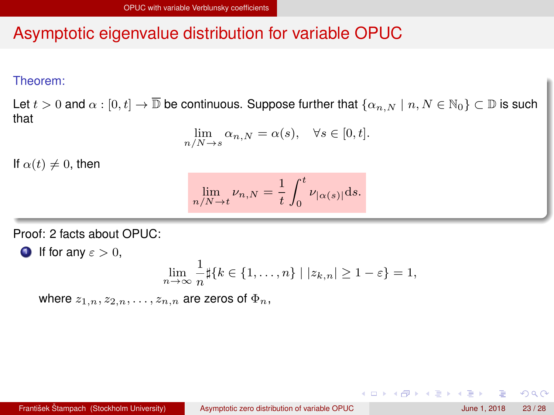<span id="page-86-0"></span>Theorem:

Let  $t > 0$  and  $\alpha : [0, t] \to \overline{D}$  be continuous. Suppose further that  $\{\alpha_{n,N} \mid n, N \in \mathbb{N}_0\} \subset \mathbb{D}$  is such that

$$
\lim_{n/N \to s} \alpha_{n,N} = \alpha(s), \quad \forall s \in [0, t].
$$

If  $\alpha(t) \neq 0$ , then

$$
\lim_{n/N \to t} \nu_{n,N} = \frac{1}{t} \int_0^t \nu_{|\alpha(s)|} ds.
$$

Proof: 2 facts about OPUC:

• If for any 
$$
\varepsilon > 0
$$
,  
\n
$$
\lim_{n \to \infty} \frac{1}{n} \sharp \{ k \in \{1, ..., n\} \mid |z_{k,n}| \ge 1 - \varepsilon \} = 1,
$$

where  $z_{1,n}, z_{2,n}, \ldots, z_{n,n}$  are zeros of  $\Phi_n$ ,

 $QQQ$ 

 $(1,1)$   $(1,1)$   $(1,1)$   $(1,1)$   $(1,1)$   $(1,1)$   $(1,1)$   $(1,1)$   $(1,1)$   $(1,1)$   $(1,1)$   $(1,1)$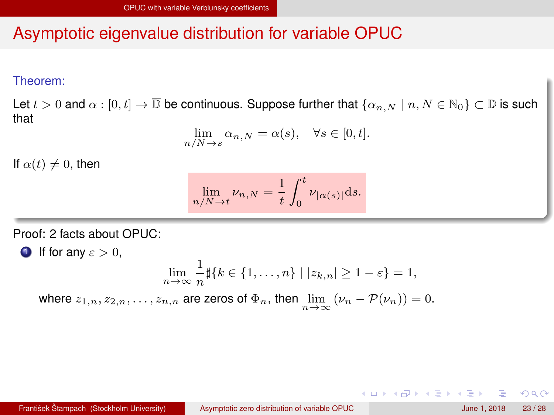<span id="page-87-0"></span>Theorem:

Let  $t > 0$  and  $\alpha : [0, t] \to \overline{\mathbb{D}}$  be continuous. Suppose further that  $\{\alpha_{n,N} \mid n, N \in \mathbb{N}_0\} \subset \mathbb{D}$  is such that

$$
\lim_{n/N \to s} \alpha_{n,N} = \alpha(s), \quad \forall s \in [0, t].
$$

If  $\alpha(t) \neq 0$ , then

$$
\lim_{n/N \to t} \nu_{n,N} = \frac{1}{t} \int_0^t \nu_{|\alpha(s)|} ds.
$$

Proof: 2 facts about OPUC:

If for any 
$$
\varepsilon > 0
$$
,  
\n
$$
\lim_{n \to \infty} \frac{1}{n} \sharp \{ k \in \{1, ..., n\} \mid |z_{k,n}| \ge 1 - \varepsilon \} = 1,
$$

where  $z_{1,n}, z_{2,n}, \ldots, z_{n,n}$  are zeros of  $\Phi_n$ , then  $\lim_{n\to\infty} (\nu_n - \mathcal{P}(\nu_n)) = 0$ .

 $\Omega$ 

**K ロ ⊁ K 倒 ≯ K ミ ⊁ K ミ ⊁**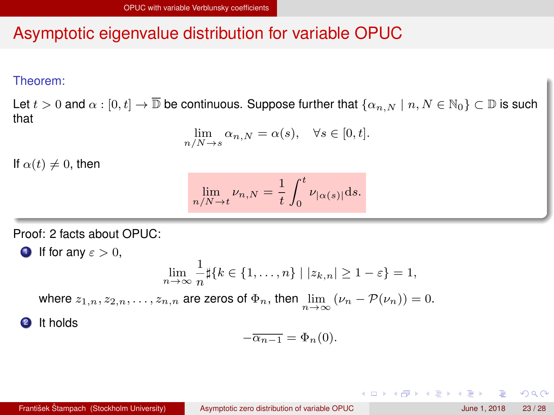<span id="page-88-0"></span>Theorem:

Let  $t > 0$  and  $\alpha : [0, t] \to \overline{\mathbb{D}}$  be continuous. Suppose further that  $\{\alpha_{n,N} \mid n, N \in \mathbb{N}_0\} \subset \mathbb{D}$  is such that

$$
\lim_{n/N \to s} \alpha_{n,N} = \alpha(s), \quad \forall s \in [0, t].
$$

If  $\alpha(t) \neq 0$ , then

$$
\lim_{n/N \to t} \nu_{n,N} = \frac{1}{t} \int_0^t \nu_{|\alpha(s)|} ds.
$$

Proof: 2 facts about OPUC:

for any 
$$
\varepsilon > 0
$$
,  
\n
$$
\lim_{n \to \infty} \frac{1}{n} \sharp \{ k \in \{1, ..., n\} \mid |z_{k,n}| \ge 1 - \varepsilon \} = 1,
$$

where  $z_{1,n}, z_{2,n}, \ldots, z_{n,n}$  are zeros of  $\Phi_n$ , then  $\lim_{n\to\infty} (\nu_n - \mathcal{P}(\nu_n)) = 0$ .

2 It holds

 $\bullet$  If

$$
-\overline{\alpha_{n-1}} = \Phi_n(0).
$$

 $\eta$ an

K ロ ▶ K 御 ▶ K 唐 ▶ K 唐 ▶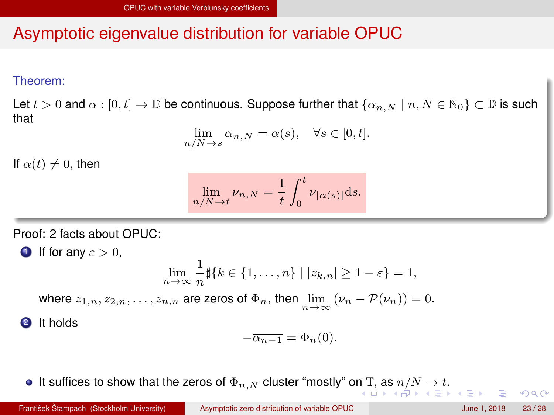#### <span id="page-89-0"></span>Theorem:

Let  $t > 0$  and  $\alpha : [0, t] \to \overline{\mathbb{D}}$  be continuous. Suppose further that  $\{\alpha_{n,N} \mid n, N \in \mathbb{N}_0\} \subset \mathbb{D}$  is such that

$$
\lim_{n/N \to s} \alpha_{n,N} = \alpha(s), \quad \forall s \in [0, t].
$$

If  $\alpha(t) \neq 0$ , then

$$
\lim_{n/N \to t} \nu_{n,N} = \frac{1}{t} \int_0^t \nu_{|\alpha(s)|} ds.
$$

Proof: 2 facts about OPUC:

• If for any 
$$
\varepsilon > 0
$$
,  
\n
$$
\lim_{n \to \infty} \frac{1}{n} \sharp \{ k \in \{1, ..., n\} \mid |z_{k,n}| \ge 1 - \varepsilon \} = 1,
$$

where  $z_{1,n}, z_{2,n}, \ldots, z_{n,n}$  are zeros of  $\Phi_n$ , then  $\lim_{n\to\infty} (\nu_n - \mathcal{P}(\nu_n)) = 0$ .

2 It holds

$$
-\overline{\alpha_{n-1}} = \Phi_n(0).
$$

It [s](#page-83-0)uffices [t](#page-106-0)o show that the zeros of  $\Phi_{n,N}$  $\Phi_{n,N}$  $\Phi_{n,N}$  $\Phi_{n,N}$  $\Phi_{n,N}$  cluster "mostly" on  $\mathbb{T}$ , [a](#page-90-0)s  $n/N \to t$  $n/N \to t$  $n/N \to t$ [.](#page-106-0)

 $-209$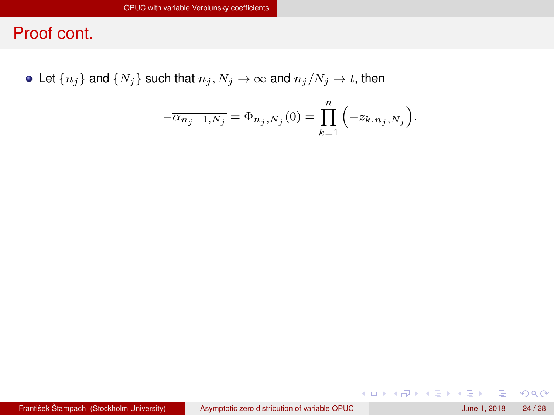<span id="page-90-0"></span>• Let  ${n_j}$  and  ${N_j}$  such that  $n_j, N_j \to \infty$  and  $n_j/N_j \to t$ , then

$$
-\overline{\alpha_{n_j-1,N_j}}=\Phi_{n_j,N_j}(0)=\prod_{k=1}^n\Big(-z_{k,n_j,N_j}\Big).
$$

 $OQ$ 

K ロ ▶ K 御 ▶ K 君 ▶ K 君 ▶ ○君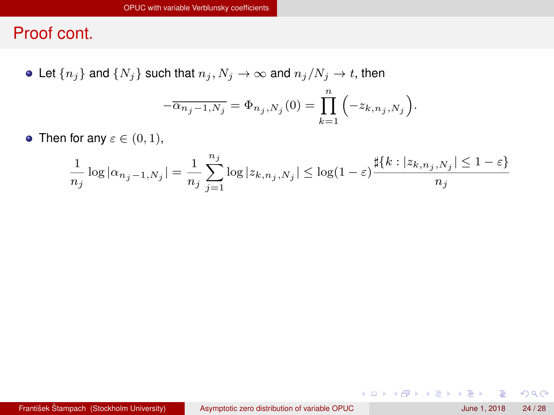<span id="page-91-0"></span>• Let  ${n_j}$  and  ${N_j}$  such that  $n_j, N_j \to \infty$  and  $n_j/N_j \to t$ , then

$$
-\overline{\alpha_{n_j-1,N_j}}=\Phi_{n_j,N_j}(0)=\prod_{k=1}^n\Big(-z_{k,n_j,N_j}\Big).
$$

• Then for any  $\varepsilon \in (0,1)$ ,

$$
\frac{1}{n_j}\log|\alpha_{n_j-1,N_j}|=\frac{1}{n_j}\sum_{j=1}^{n_j}\log|z_{k,n_j,N_j}|\leq \log(1-\varepsilon)\frac{\sharp\{k:|z_{k,n_j,N_j}|\leq 1-\varepsilon\}}{n_j}
$$

 $OQ$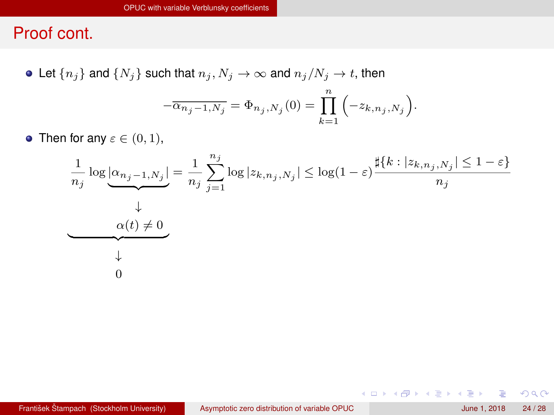<span id="page-92-0"></span>• Let  ${n_j}$  and  ${N_j}$  such that  $n_j, N_j \to \infty$  and  $n_j/N_j \to t$ , then

$$
-\overline{\alpha_{n_j-1,N_j}}=\Phi_{n_j,N_j}(0)=\prod_{k=1}^n\Big(-z_{k,n_j,N_j}\Big).
$$

• Then for any  $\varepsilon \in (0,1)$ ,

$$
\frac{1}{n_j} \log \underbrace{|\alpha_{n_j-1,N_j}|}_{\psi} = \frac{1}{n_j} \sum_{j=1}^{n_j} \log |z_{k,n_j,N_j}| \leq \log(1-\varepsilon) \frac{\sharp\{k : |z_{k,n_j,N_j}| \leq 1-\varepsilon\}}{n_j}
$$
\n
$$
\downarrow
$$
\n
$$
\alpha(t) \neq 0
$$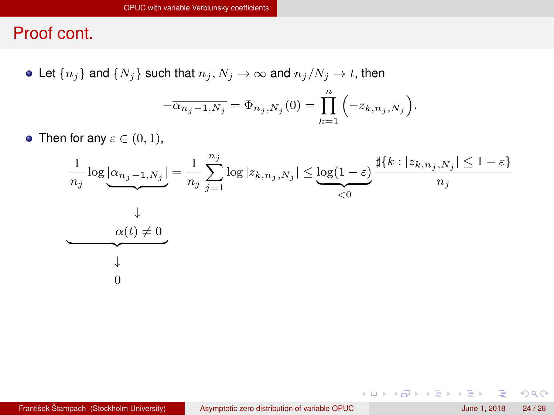<span id="page-93-0"></span>• Let  ${n_j}$  and  ${N_j}$  such that  $n_j, N_j \to \infty$  and  $n_j/N_j \to t$ , then

$$
-\overline{\alpha_{n_j-1,N_j}}=\Phi_{n_j,N_j}(0)=\prod_{k=1}^n\Big(-z_{k,n_j,N_j}\Big).
$$

• Then for any  $\varepsilon \in (0,1)$ ,

$$
\frac{1}{n_j} \log \underbrace{|\alpha_{n_j-1,N_j}|}_{\text{$\forall$}} = \frac{1}{n_j} \sum_{j=1}^{n_j} \log |z_{k,n_j,N_j}| \leq \underbrace{\log (1-\varepsilon)}_{<0} \frac{\sharp \{k: |z_{k,n_j,N_j}| \leq 1-\varepsilon \}}{n_j}
$$

0

 $OQ$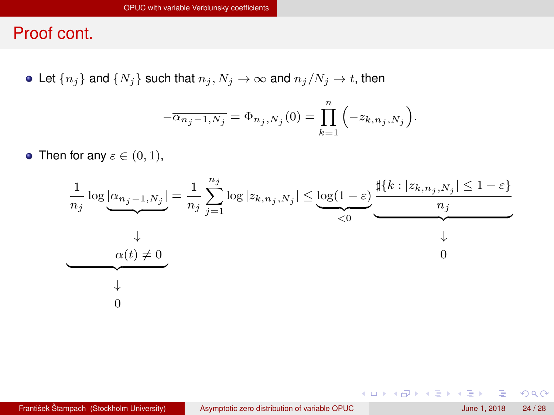<span id="page-94-0"></span>• Let  ${n_j}$  and  ${N_j}$  such that  $n_j, N_j \to \infty$  and  $n_j/N_j \to t$ , then

$$
-\overline{\alpha_{n_j-1,N_j}}=\Phi_{n_j,N_j}(0)=\prod_{k=1}^n\Big(-z_{k,n_j,N_j}\Big).
$$

• Then for any  $\varepsilon \in (0,1)$ ,

$$
\frac{1}{n_j} \log \underbrace{\left|\alpha_{n_j-1,N_j}\right|}_{\text{A}} = \frac{1}{n_j} \sum_{j=1}^{n_j} \log |z_{k,n_j,N_j}| \leq \underbrace{\log (1-\varepsilon)}_{<0} \underbrace{\frac{\sharp\{k : |z_{k,n_j,N_j}| \leq 1-\varepsilon\}}{n_j}}_{\text{A}} + \underbrace{\frac{\sharp\{k : |z_{k,n_j,N_j}| \leq 1-\varepsilon\}}{n_j}}_{\text{C}}.
$$

 $OQ$ 

K ロ ▶ K 御 ▶ K 君 ▶ K 君 ▶ ○君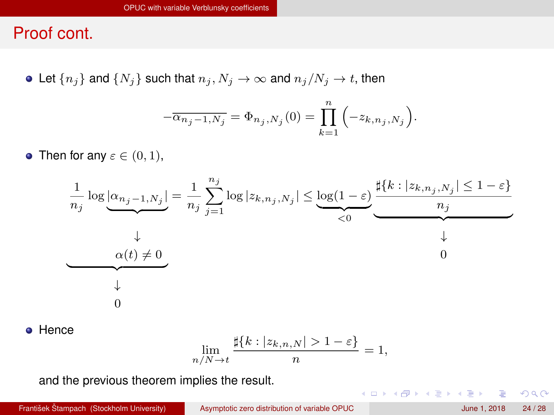<span id="page-95-0"></span>• Let  ${n_j}$  and  ${N_j}$  such that  $n_j, N_j \to \infty$  and  $n_j/N_j \to t$ , then

$$
-\overline{\alpha_{n_j-1,N_j}}=\Phi_{n_j,N_j}(0)=\prod_{k=1}^n\Big(-z_{k,n_j,N_j}\Big).
$$

• Then for any  $\varepsilon \in (0,1)$ ,

$$
\frac{1}{n_j} \log \underbrace{\left|\alpha_{n_j-1,N_j}\right|}_{\text{avg}} = \frac{1}{n_j} \sum_{j=1}^{n_j} \log |z_{k,n_j,N_j}| \leq \underbrace{\log(1-\varepsilon)}_{<0} \underbrace{\frac{\sharp\{k : |z_{k,n_j,N_j}| \leq 1-\varepsilon\}}{n_j}}_{\text{avg}}}{\frac{1}{\downarrow}}
$$

• Hence

$$
\lim_{n/N \to t} \frac{\sharp\{k : |z_{k,n,N}| > 1 - \varepsilon\}}{n} = 1,
$$

and the previous theorem implies the result.

 $OQ$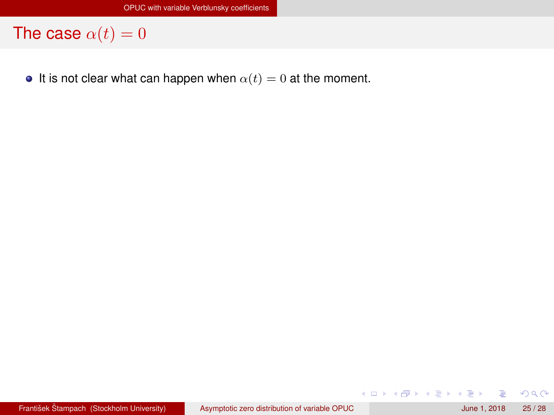<span id="page-96-0"></span>It is not clear what can happen when  $\alpha(t) = 0$  at the moment.

 $OQ$ 

メロトメ 御 トメ ミトメ ミトリ 毛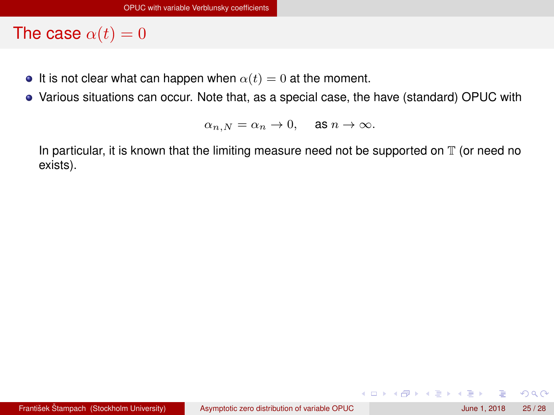- <span id="page-97-0"></span>It is not clear what can happen when  $\alpha(t) = 0$  at the moment.
- Various situations can occur. Note that, as a special case, the have (standard) OPUC with

 $\alpha_{n,N} = \alpha_n \to 0$ , as  $n \to \infty$ .

In particular, it is known that the limiting measure need not be supported on  $\mathbb T$  (or need no exists).

K ロ ▶ K @ ▶ K ミ ▶ K ミ ▶ - ' 큰' - K) Q Q @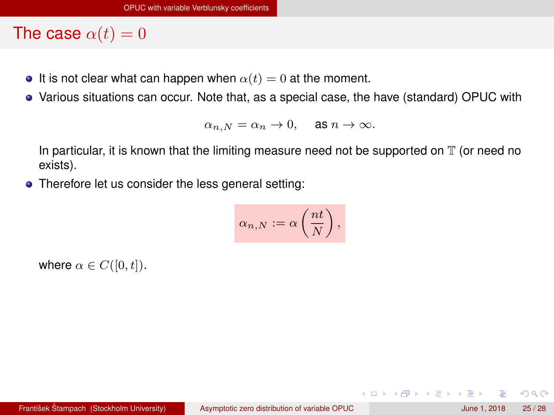- <span id="page-98-0"></span>It is not clear what can happen when  $\alpha(t) = 0$  at the moment.
- Various situations can occur. Note that, as a special case, the have (standard) OPUC with

$$
\alpha_{n,N}=\alpha_n\to 0,\quad\text{as }n\to\infty.
$$

In particular, it is known that the limiting measure need not be supported on  $\mathbb T$  (or need no exists).

• Therefore let us consider the less general setting:

$$
\alpha_{n,N}:=\alpha\left(\frac{nt}{N}\right),
$$

where  $\alpha \in C([0,t])$ .

 $\Omega$ 

イロン イ団ン イヨン イヨン 一番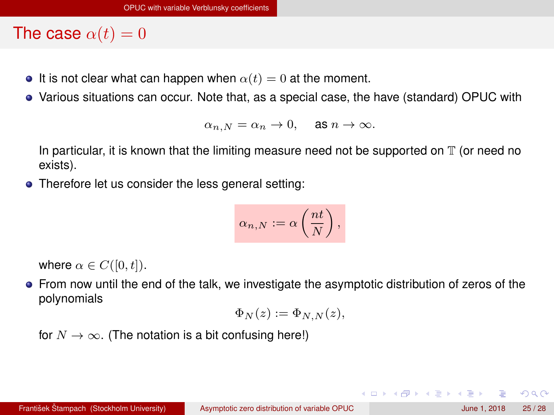- <span id="page-99-0"></span>It is not clear what can happen when  $\alpha(t) = 0$  at the moment.
- Various situations can occur. Note that, as a special case, the have (standard) OPUC with

$$
\alpha_{n,N}=\alpha_n\to 0,\quad \text{ as } n\to\infty.
$$

In particular, it is known that the limiting measure need not be supported on  $\mathbb T$  (or need no exists).

• Therefore let us consider the less general setting:

$$
\alpha_{n,N}:=\alpha\left(\frac{nt}{N}\right),
$$

where  $\alpha \in C([0,t])$ .

From now until the end of the talk, we investigate the asymptotic distribution of zeros of the polynomials

$$
\Phi_N(z):=\Phi_{N,N}(z),
$$

for  $N \to \infty$ . (The notation is a bit confusing here!)

KO KARA KE KA EK GERAK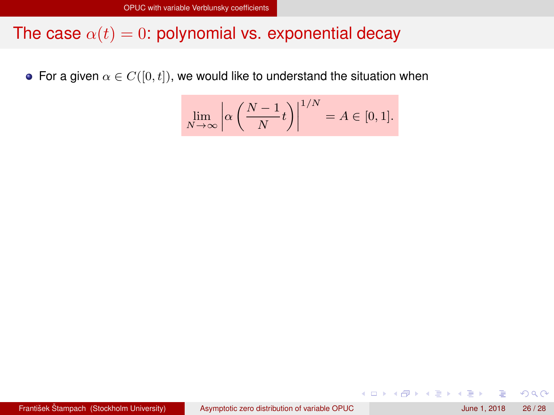### <span id="page-100-0"></span>The case  $\alpha(t) = 0$ : polynomial vs. exponential decay

• For a given  $\alpha \in C([0, t])$ , we would like to understand the situation when

$$
\lim_{N \to \infty} \left| \alpha \left( \frac{N-1}{N} t \right) \right|^{1/N} = A \in [0,1].
$$

 $2Q$ 

**K ロ ⊁ K 倒 ≯ K ミ ⊁ K ミ ⊁**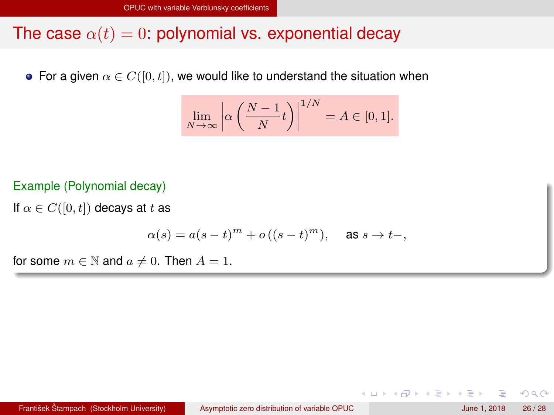### <span id="page-101-0"></span>The case  $\alpha(t) = 0$ : polynomial vs. exponential decay

• For a given  $\alpha \in C([0, t])$ , we would like to understand the situation when

$$
\lim_{N \to \infty} \left| \alpha \left( \frac{N-1}{N} t \right) \right|^{1/N} = A \in [0,1].
$$

Example (Polynomial decay)

If  $\alpha \in C([0,t])$  decays at t as

$$
\alpha(s) = a(s-t)^m + o((s-t)^m), \quad \text{as } s \to t-,
$$

for some  $m \in \mathbb{N}$  and  $a \neq 0$ . Then  $A = 1$ .

František Štampach (Stockholm University) [Asymptotic zero distribution of variable OPUC](#page-0-0) June 1, 2018 26 / 28

 $2Q$ 

**K ロ ⊁ K 倒 ≯ K ミ ⊁ K ミ ⊁**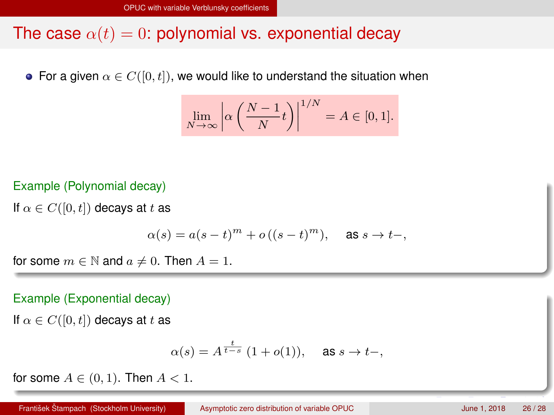### <span id="page-102-0"></span>The case  $\alpha(t) = 0$ : polynomial vs. exponential decay

• For a given  $\alpha \in C([0, t])$ , we would like to understand the situation when

$$
\lim_{N \to \infty} \left| \alpha \left( \frac{N-1}{N} t \right) \right|^{1/N} = A \in [0,1].
$$

Example (Polynomial decay)

If  $\alpha \in C([0,t])$  decays at t as

$$
\alpha(s) = a(s-t)^m + o\left((s-t)^m\right), \quad \text{as } s \to t-,
$$

for some  $m \in \mathbb{N}$  and  $a \neq 0$ . Then  $A = 1$ .

#### Example (Exponential decay)

If  $\alpha \in C([0,t])$  decays at t as

$$
\alpha(s) = A^{\frac{t}{t-s}} \left( 1 + o(1) \right), \quad \text{as } s \to t-,
$$

for some  $A \in (0,1)$ . Then  $A < 1$ .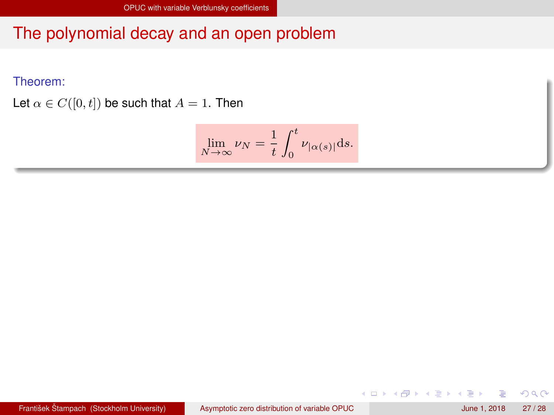## <span id="page-103-0"></span>The polynomial decay and an open problem

Theorem:

Let  $\alpha \in C([0, t])$  be such that  $A = 1$ . Then

$$
\lim_{N\to\infty}\nu_N=\frac{1}{t}\int_0^t\nu_{|\alpha(s)|}\mathrm{d} s.
$$

 $2Q$ 

**K ロ ト K 何 ト** 

→ 重 ★  $\leftarrow$   $\equiv$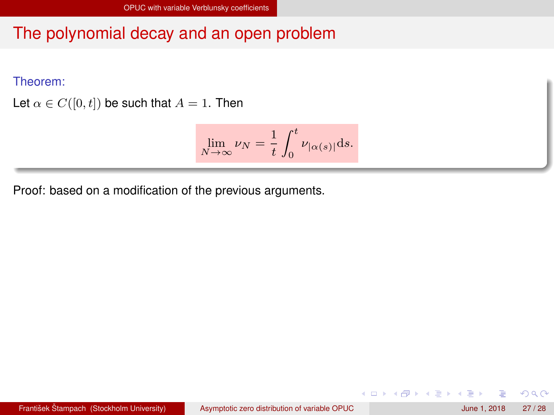# <span id="page-104-0"></span>The polynomial decay and an open problem

Theorem:

Let  $\alpha \in C([0, t])$  be such that  $A = 1$ . Then

$$
\lim_{N\to\infty}\nu_N=\frac{1}{t}\int_0^t\nu_{|\alpha(s)|}\mathrm{d} s.
$$

Proof: based on a modification of the previous arguments.

 $2Q$ 

イロト イ母 トイラト イラト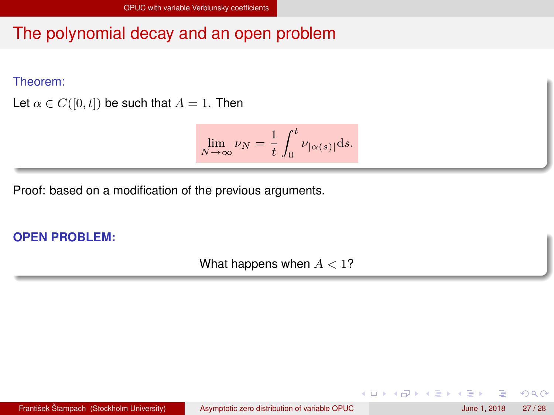# <span id="page-105-0"></span>The polynomial decay and an open problem

Theorem:

Let  $\alpha \in C([0,t])$  be such that  $A = 1$ . Then

$$
\lim_{N \to \infty} \nu_N = \frac{1}{t} \int_0^t \nu_{|\alpha(s)|} ds.
$$

Proof: based on a modification of the previous arguments.

#### **OPEN PROBLEM:**

What happens when  $A < 1$ ?

**K ロ ト K 何 ト** 

 $QQ$ 

化重新化重新